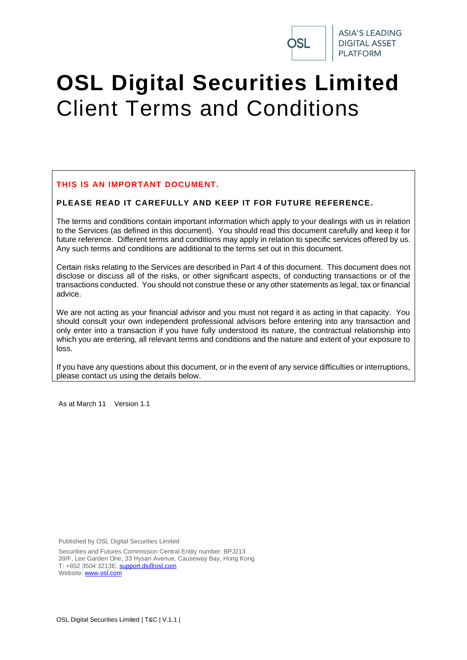

# **OSL Digital Securities Limited** Client Terms and Conditions

### **THIS IS AN IMPORTANT DOCUMENT.**

### **PLEASE READ IT CAREFULLY AND KEEP IT FOR FUTURE REFERENCE.**

The terms and conditions contain important information which apply to your dealings with us in relation to the Services (as defined in this document). You should read this document carefully and keep it for future reference. Different terms and conditions may apply in relation to specific services offered by us. Any such terms and conditions are additional to the terms set out in this document.

Certain risks relating to the Services are described in [Part 4](#page-52-0) of this document. This document does not disclose or discuss all of the risks, or other significant aspects, of conducting transactions or of the transactions conducted. You should not construe these or any other statements as legal, tax or financial advice.

We are not acting as your financial advisor and you must not regard it as acting in that capacity. You should consult your own independent professional advisors before entering into any transaction and only enter into a transaction if you have fully understood its nature, the contractual relationship into which you are entering, all relevant terms and conditions and the nature and extent of your exposure to loss.

If you have any questions about this document, or in the event of any service difficulties or interruptions, please contact us using the details below.

As at March 11 Version 1.1

Published by OSL Digital Securities Limited

Securities and Futures Commission Central Entity number: BPJ213 39/F, Lee Garden One, 33 Hysan Avenue, Causeway Bay, Hong Kong T: +852 3504 3213E: [support.ds@osl.com](mailto:support.ds@osl.com) Website: [www.osl.com](http://www.osl.com/)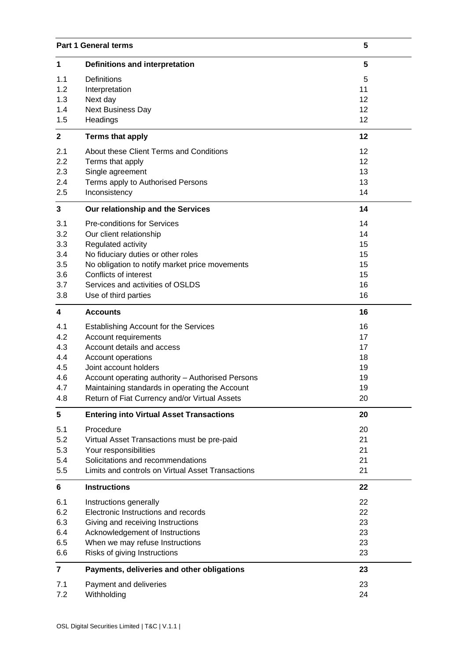| <b>Part 1 General terms</b> |                                                   | 5  |
|-----------------------------|---------------------------------------------------|----|
| 1                           | <b>Definitions and interpretation</b>             | 5  |
| 1.1                         | <b>Definitions</b>                                | 5  |
| 1.2                         | Interpretation                                    | 11 |
| 1.3                         | Next day                                          | 12 |
| 1.4                         | <b>Next Business Day</b>                          | 12 |
| 1.5                         | Headings                                          | 12 |
| $\mathbf{2}$                | <b>Terms that apply</b>                           | 12 |
| 2.1                         | About these Client Terms and Conditions           | 12 |
| 2.2                         | Terms that apply                                  | 12 |
| 2.3                         | Single agreement                                  | 13 |
| 2.4                         | Terms apply to Authorised Persons                 | 13 |
| 2.5                         | Inconsistency                                     | 14 |
| 3                           | Our relationship and the Services                 | 14 |
| 3.1                         | <b>Pre-conditions for Services</b>                | 14 |
| 3.2                         | Our client relationship                           | 14 |
| 3.3                         | Regulated activity                                | 15 |
| 3.4                         | No fiduciary duties or other roles                | 15 |
| 3.5                         | No obligation to notify market price movements    | 15 |
| 3.6                         | Conflicts of interest                             | 15 |
| 3.7                         | Services and activities of OSLDS                  | 16 |
| 3.8                         | Use of third parties                              | 16 |
| $\overline{\mathbf{4}}$     | <b>Accounts</b>                                   | 16 |
| 4.1                         | <b>Establishing Account for the Services</b>      | 16 |
| 4.2                         | Account requirements                              | 17 |
| 4.3                         | Account details and access                        | 17 |
| 4.4                         | Account operations                                | 18 |
| 4.5                         | Joint account holders                             | 19 |
| 4.6                         | Account operating authority - Authorised Persons  | 19 |
| 4.7                         | Maintaining standards in operating the Account    | 19 |
| 4.8                         | Return of Fiat Currency and/or Virtual Assets     | 20 |
| $5\phantom{.0}$             | <b>Entering into Virtual Asset Transactions</b>   | 20 |
| 5.1                         | Procedure                                         | 20 |
| 5.2                         | Virtual Asset Transactions must be pre-paid       | 21 |
| 5.3                         | Your responsibilities                             | 21 |
| 5.4                         | Solicitations and recommendations                 | 21 |
| 5.5                         | Limits and controls on Virtual Asset Transactions | 21 |
| 6                           | <b>Instructions</b>                               | 22 |
| 6.1                         | Instructions generally                            | 22 |
| 6.2                         | Electronic Instructions and records               | 22 |
| 6.3                         | Giving and receiving Instructions                 | 23 |
| 6.4                         | Acknowledgement of Instructions                   | 23 |
| 6.5                         | When we may refuse Instructions                   | 23 |
| 6.6                         | Risks of giving Instructions                      | 23 |
| $\overline{7}$              | Payments, deliveries and other obligations        | 23 |
| 7.1                         | Payment and deliveries                            | 23 |
| 7.2                         | Withholding                                       | 24 |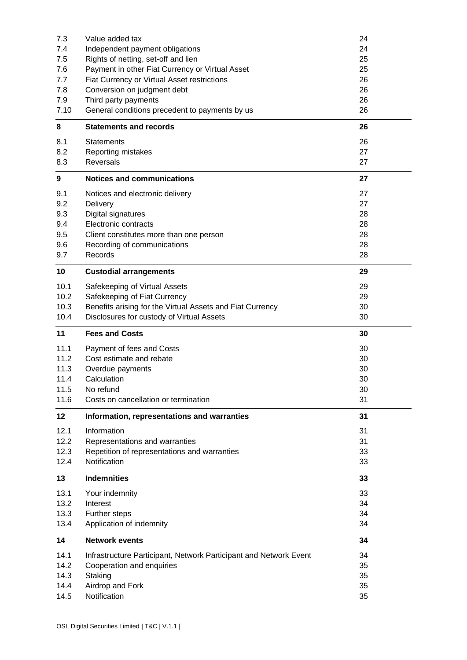|              | Value added tax                                                   | 24       |
|--------------|-------------------------------------------------------------------|----------|
| 7.4          | Independent payment obligations                                   | 24       |
| 7.5          | Rights of netting, set-off and lien                               | 25       |
| 7.6          | Payment in other Fiat Currency or Virtual Asset                   | 25       |
| 7.7          | Fiat Currency or Virtual Asset restrictions                       | 26       |
| 7.8          | Conversion on judgment debt                                       | 26       |
| 7.9          | Third party payments                                              | 26       |
| 7.10         | General conditions precedent to payments by us                    | 26       |
|              |                                                                   |          |
| 8            | <b>Statements and records</b>                                     | 26       |
| 8.1          | <b>Statements</b>                                                 | 26       |
| 8.2          | Reporting mistakes                                                | 27       |
| 8.3          | <b>Reversals</b>                                                  | 27       |
|              |                                                                   |          |
| 9            | <b>Notices and communications</b>                                 | 27       |
| 9.1          | Notices and electronic delivery                                   | 27       |
| 9.2          | Delivery                                                          | 27       |
| 9.3          | Digital signatures                                                | 28       |
| 9.4          | Electronic contracts                                              | 28       |
| 9.5          | Client constitutes more than one person                           | 28       |
| 9.6          | Recording of communications                                       | 28       |
| 9.7          | Records                                                           | 28       |
|              |                                                                   |          |
| 10           | <b>Custodial arrangements</b>                                     | 29       |
| 10.1         | Safekeeping of Virtual Assets                                     | 29       |
| 10.2         | Safekeeping of Fiat Currency                                      | 29       |
| 10.3         | Benefits arising for the Virtual Assets and Fiat Currency         | 30       |
| 10.4         | Disclosures for custody of Virtual Assets                         | 30       |
|              |                                                                   |          |
|              |                                                                   |          |
| 11           | <b>Fees and Costs</b>                                             | 30       |
| 11.1         | Payment of fees and Costs                                         | 30       |
| 11.2         | Cost estimate and rebate                                          | 30       |
| 11.3         | Overdue payments                                                  | 30       |
| 11.4         | Calculation                                                       | 30       |
| 11.5         | No refund                                                         | 30       |
| 11.6         | Costs on cancellation or termination                              | 31       |
| 12           | Information, representations and warranties                       | 31       |
|              |                                                                   |          |
| 12.1         | Information                                                       | 31       |
| 12.2         | Representations and warranties                                    | 31       |
| 12.3         | Repetition of representations and warranties                      | 33       |
| 12.4         | Notification                                                      | 33       |
| 13           | <b>Indemnities</b>                                                | 33       |
| 13.1         | Your indemnity                                                    | 33       |
| 13.2         | Interest                                                          | 34       |
| 13.3         |                                                                   | 34       |
| 13.4         | Further steps<br>Application of indemnity                         | 34       |
|              |                                                                   |          |
| 14           | <b>Network events</b>                                             | 34       |
| 14.1         | Infrastructure Participant, Network Participant and Network Event | 34       |
| 14.2         | Cooperation and enquiries                                         | 35       |
| 14.3         | Staking                                                           | 35       |
| 14.4<br>14.5 | Airdrop and Fork<br>Notification                                  | 35<br>35 |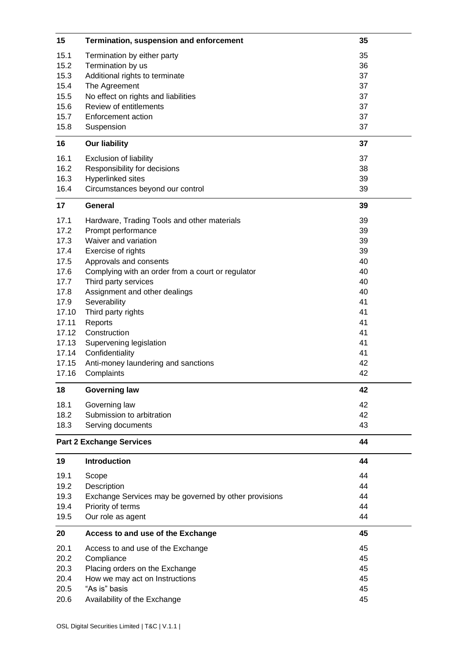| 15                              | Termination, suspension and enforcement               | 35       |
|---------------------------------|-------------------------------------------------------|----------|
| 15.1                            | Termination by either party                           | 35       |
| 15.2                            | Termination by us                                     | 36       |
| 15.3                            | Additional rights to terminate                        | 37       |
| 15.4                            | The Agreement                                         | 37       |
| 15.5                            | No effect on rights and liabilities                   | 37       |
| 15.6                            | Review of entitlements                                | 37       |
| 15.7                            | <b>Enforcement action</b>                             | 37       |
| 15.8                            | Suspension                                            | 37       |
| 16                              | <b>Our liability</b>                                  | 37       |
| 16.1                            | <b>Exclusion of liability</b>                         | 37       |
| 16.2                            | Responsibility for decisions                          | 38       |
| 16.3                            | Hyperlinked sites                                     | 39       |
| 16.4                            | Circumstances beyond our control                      | 39       |
| 17                              | <b>General</b>                                        | 39       |
| 17.1                            | Hardware, Trading Tools and other materials           | 39       |
| 17.2                            | Prompt performance                                    | 39       |
| 17.3                            | Waiver and variation                                  | 39       |
| 17.4                            | Exercise of rights                                    | 39       |
| 17.5                            | Approvals and consents                                | 40       |
| 17.6                            | Complying with an order from a court or regulator     | 40       |
| 17.7                            | Third party services                                  | 40       |
| 17.8                            | Assignment and other dealings                         | 40       |
| 17.9                            | Severability                                          | 41       |
| 17.10                           | Third party rights                                    | 41       |
| 17.11<br>17.12                  | Reports<br>Construction                               | 41<br>41 |
| 17.13                           | Supervening legislation                               | 41       |
| 17.14                           | Confidentiality                                       | 41       |
| 17.15                           | Anti-money laundering and sanctions                   | 42       |
| 17.16                           | Complaints                                            | 42       |
| 18                              | <b>Governing law</b>                                  | 42       |
| 18.1                            | Governing law                                         | 42       |
| 18.2                            | Submission to arbitration                             | 42       |
| 18.3                            | Serving documents                                     | 43       |
|                                 |                                                       | 44       |
| <b>Part 2 Exchange Services</b> |                                                       |          |
| 19                              | Introduction                                          | 44       |
| 19.1                            | Scope                                                 | 44       |
| 19.2                            | Description                                           | 44       |
| 19.3                            | Exchange Services may be governed by other provisions | 44       |
| 19.4                            | Priority of terms                                     | 44       |
| 19.5                            | Our role as agent                                     | 44       |
| 20                              | Access to and use of the Exchange                     | 45       |
| 20.1                            | Access to and use of the Exchange                     | 45       |
| 20.2                            | Compliance                                            | 45       |
| 20.3                            | Placing orders on the Exchange                        | 45       |
| 20.4                            | How we may act on Instructions                        | 45       |
| 20.5                            | "As is" basis                                         | 45       |
| 20.6                            | Availability of the Exchange                          | 45       |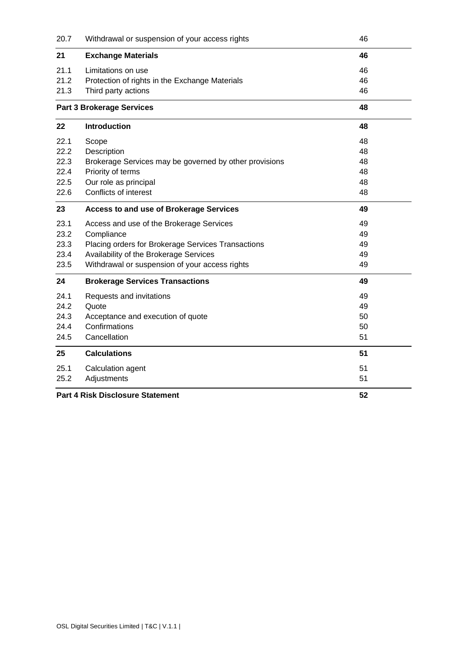| 20.7                                    | Withdrawal or suspension of your access rights         | 46 |
|-----------------------------------------|--------------------------------------------------------|----|
| 21                                      | <b>Exchange Materials</b>                              | 46 |
| 21.1                                    | Limitations on use                                     | 46 |
| 21.2                                    | Protection of rights in the Exchange Materials         | 46 |
| 21.3                                    | Third party actions                                    | 46 |
| <b>Part 3 Brokerage Services</b>        |                                                        | 48 |
| 22                                      | Introduction                                           | 48 |
| 22.1                                    | Scope                                                  | 48 |
| 22.2                                    | Description                                            | 48 |
| 22.3                                    | Brokerage Services may be governed by other provisions | 48 |
| 22.4                                    | Priority of terms                                      | 48 |
| 22.5                                    | Our role as principal                                  | 48 |
| 22.6                                    | Conflicts of interest                                  | 48 |
| 23                                      | <b>Access to and use of Brokerage Services</b>         | 49 |
| 23.1                                    | Access and use of the Brokerage Services               | 49 |
| 23.2                                    | Compliance                                             | 49 |
| 23.3                                    | Placing orders for Brokerage Services Transactions     | 49 |
| 23.4                                    | Availability of the Brokerage Services                 | 49 |
| 23.5                                    | Withdrawal or suspension of your access rights         | 49 |
| 24                                      | <b>Brokerage Services Transactions</b>                 | 49 |
| 24.1                                    | Requests and invitations                               | 49 |
| 24.2                                    | Quote                                                  | 49 |
| 24.3                                    | Acceptance and execution of quote                      | 50 |
| 24.4                                    | Confirmations                                          | 50 |
| 24.5                                    | Cancellation                                           | 51 |
| 25                                      | <b>Calculations</b>                                    | 51 |
| 25.1                                    | Calculation agent                                      | 51 |
| 25.2                                    | Adjustments                                            | 51 |
| <b>Part 4 Risk Disclosure Statement</b> |                                                        | 52 |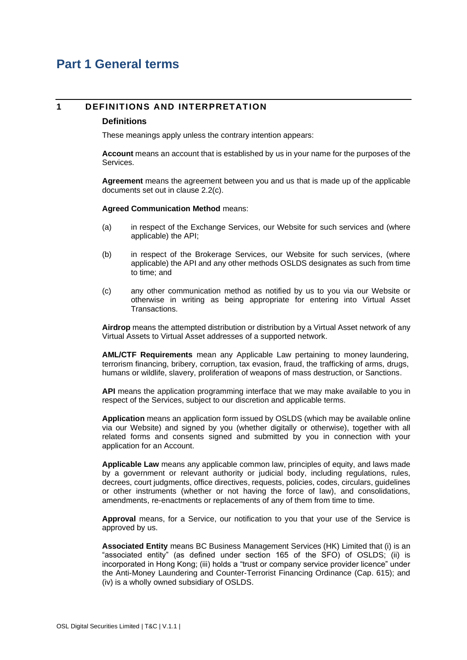## <span id="page-5-0"></span>**Part 1 General terms**

#### **1 DEFINITIONS AND INTERPRETATION**

#### **Definitions**

These meanings apply unless the contrary intention appears:

**Account** means an account that is established by us in your name for the purposes of the Services.

**Agreement** means the agreement between you and us that is made up of the applicable documents set out in clause [2.2\(c\).](#page-13-0)

**Agreed Communication Method** means:

- (a) in respect of the Exchange Services, our Website for such services and (where applicable) the API;
- (b) in respect of the Brokerage Services, our Website for such services, (where applicable) the API and any other methods OSLDS designates as such from time to time; and
- (c) any other communication method as notified by us to you via our Website or otherwise in writing as being appropriate for entering into Virtual Asset **Transactions**

**Airdrop** means the attempted distribution or distribution by a Virtual Asset network of any Virtual Assets to Virtual Asset addresses of a supported network.

**AML/CTF Requirements** mean any Applicable Law pertaining to money laundering, terrorism financing, bribery, corruption, tax evasion, fraud, the trafficking of arms, drugs, humans or wildlife, slavery, proliferation of weapons of mass destruction, or Sanctions.

**API** means the application programming interface that we may make available to you in respect of the Services, subject to our discretion and applicable terms.

**Application** means an application form issued by OSLDS (which may be available online via our Website) and signed by you (whether digitally or otherwise), together with all related forms and consents signed and submitted by you in connection with your application for an Account.

**Applicable Law** means any applicable common law, principles of equity, and laws made by a government or relevant authority or judicial body, including regulations, rules, decrees, court judgments, office directives, requests, policies, codes, circulars, guidelines or other instruments (whether or not having the force of law), and consolidations, amendments, re-enactments or replacements of any of them from time to time.

**Approval** means, for a Service, our notification to you that your use of the Service is approved by us.

**Associated Entity** means BC Business Management Services (HK) Limited that (i) is an "associated entity" (as defined under section 165 of the SFO) of OSLDS; (ii) is incorporated in Hong Kong; (iii) holds a "trust or company service provider licence" under the Anti-Money Laundering and Counter-Terrorist Financing Ordinance (Cap. 615); and (iv) is a wholly owned subsidiary of OSLDS.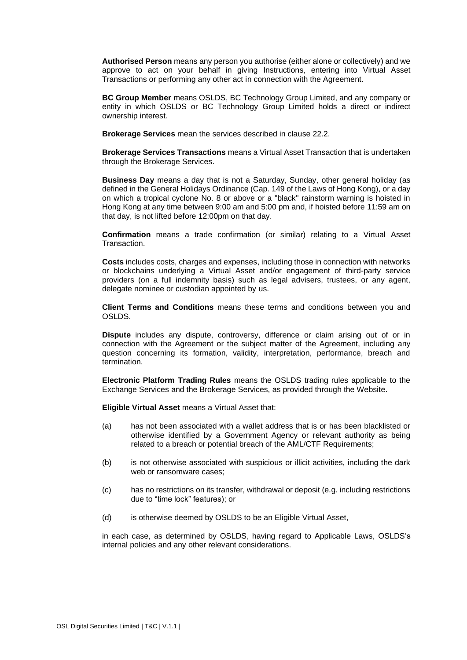**Authorised Person** means any person you authorise (either alone or collectively) and we approve to act on your behalf in giving Instructions, entering into Virtual Asset Transactions or performing any other act in connection with the Agreement.

**BC Group Member** means OSLDS, BC Technology Group Limited, and any company or entity in which OSLDS or BC Technology Group Limited holds a direct or indirect ownership interest.

**Brokerage Services** mean the services described in claus[e 22.2.](#page-48-0)

**Brokerage Services Transactions** means a Virtual Asset Transaction that is undertaken through the Brokerage Services.

**Business Day** means a day that is not a Saturday, Sunday, other general holiday (as defined in the General Holidays Ordinance (Cap. 149 of the Laws of Hong Kong), or a day on which a tropical cyclone No. 8 or above or a "black" rainstorm warning is hoisted in Hong Kong at any time between 9:00 am and 5:00 pm and, if hoisted before 11:59 am on that day, is not lifted before 12:00pm on that day.

**Confirmation** means a trade confirmation (or similar) relating to a Virtual Asset Transaction.

**Costs** includes costs, charges and expenses, including those in connection with networks or blockchains underlying a Virtual Asset and/or engagement of third-party service providers (on a full indemnity basis) such as legal advisers, trustees, or any agent, delegate nominee or custodian appointed by us.

**Client Terms and Conditions** means these terms and conditions between you and OSLDS.

**Dispute** includes any dispute, controversy, difference or claim arising out of or in connection with the Agreement or the subject matter of the Agreement, including any question concerning its formation, validity, interpretation, performance, breach and termination.

**Electronic Platform Trading Rules** means the OSLDS trading rules applicable to the Exchange Services and the Brokerage Services, as provided through the Website.

**Eligible Virtual Asset** means a Virtual Asset that:

- (a) has not been associated with a wallet address that is or has been blacklisted or otherwise identified by a Government Agency or relevant authority as being related to a breach or potential breach of the AML/CTF Requirements;
- (b) is not otherwise associated with suspicious or illicit activities, including the dark web or ransomware cases;
- (c) has no restrictions on its transfer, withdrawal or deposit (e.g. including restrictions due to "time lock" features); or
- (d) is otherwise deemed by OSLDS to be an Eligible Virtual Asset,

in each case, as determined by OSLDS, having regard to Applicable Laws, OSLDS's internal policies and any other relevant considerations.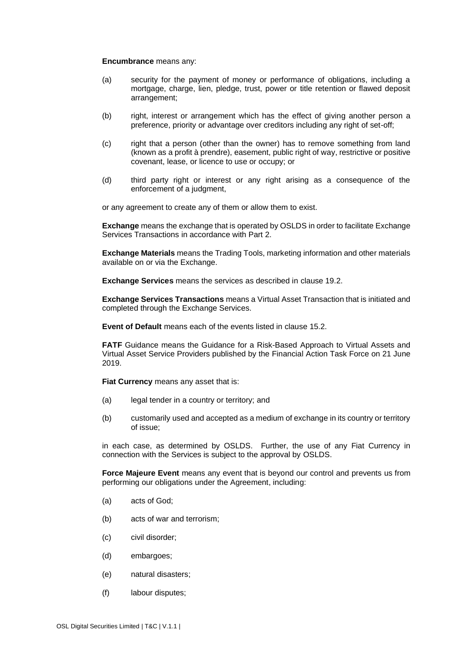#### **Encumbrance** means any:

- (a) security for the payment of money or performance of obligations, including a mortgage, charge, lien, pledge, trust, power or title retention or flawed deposit arrangement;
- (b) right, interest or arrangement which has the effect of giving another person a preference, priority or advantage over creditors including any right of set-off;
- (c) right that a person (other than the owner) has to remove something from land (known as a profit à prendre), easement, public right of way, restrictive or positive covenant, lease, or licence to use or occupy; or
- (d) third party right or interest or any right arising as a consequence of the enforcement of a judgment,

or any agreement to create any of them or allow them to exist.

**Exchange** means the exchange that is operated by OSLDS in order to facilitate Exchange Services Transactions in accordance with [Part 2.](#page-44-0)

**Exchange Materials** means the Trading Tools, marketing information and other materials available on or via the Exchange.

**Exchange Services** means the services as described in clause [19.2.](#page-44-1)

**Exchange Services Transactions** means a Virtual Asset Transaction that is initiated and completed through the Exchange Services.

**Event of Default** means each of the events listed in claus[e 15.2.](#page-36-0)

**FATF** Guidance means the Guidance for a Risk-Based Approach to Virtual Assets and Virtual Asset Service Providers published by the Financial Action Task Force on 21 June 2019.

**Fiat Currency** means any asset that is:

- (a) legal tender in a country or territory; and
- (b) customarily used and accepted as a medium of exchange in its country or territory of issue;

in each case, as determined by OSLDS. Further, the use of any Fiat Currency in connection with the Services is subject to the approval by OSLDS.

**Force Majeure Event** means any event that is beyond our control and prevents us from performing our obligations under the Agreement, including:

- (a) acts of God;
- (b) acts of war and terrorism;
- (c) civil disorder;
- (d) embargoes;
- (e) natural disasters;
- (f) labour disputes;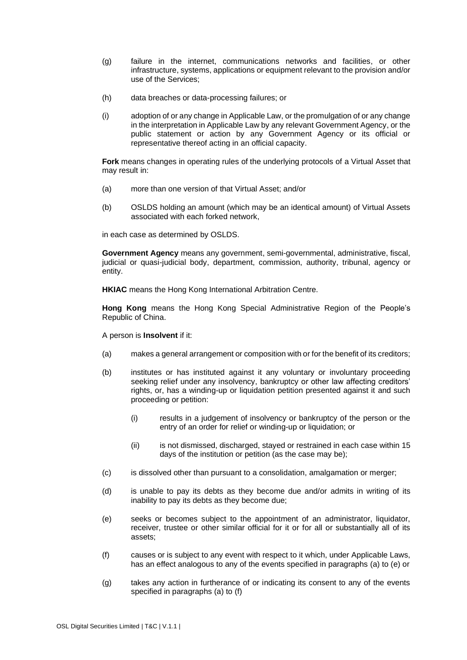- (g) failure in the internet, communications networks and facilities, or other infrastructure, systems, applications or equipment relevant to the provision and/or use of the Services;
- (h) data breaches or data-processing failures; or
- (i) adoption of or any change in Applicable Law, or the promulgation of or any change in the interpretation in Applicable Law by any relevant Government Agency, or the public statement or action by any Government Agency or its official or representative thereof acting in an official capacity.

**Fork** means changes in operating rules of the underlying protocols of a Virtual Asset that may result in:

- (a) more than one version of that Virtual Asset; and/or
- (b) OSLDS holding an amount (which may be an identical amount) of Virtual Assets associated with each forked network,

in each case as determined by OSLDS.

**Government Agency** means any government, semi-governmental, administrative, fiscal, judicial or quasi-judicial body, department, commission, authority, tribunal, agency or entity.

**HKIAC** means the Hong Kong International Arbitration Centre.

**Hong Kong** means the Hong Kong Special Administrative Region of the People's Republic of China.

A person is **Insolvent** if it:

- <span id="page-8-0"></span>(a) makes a general arrangement or composition with or for the benefit of its creditors;
- (b) institutes or has instituted against it any voluntary or involuntary proceeding seeking relief under any insolvency, bankruptcy or other law affecting creditors' rights, or, has a winding-up or liquidation petition presented against it and such proceeding or petition:
	- (i) results in a judgement of insolvency or bankruptcy of the person or the entry of an order for relief or winding-up or liquidation; or
	- (ii) is not dismissed, discharged, stayed or restrained in each case within 15 days of the institution or petition (as the case may be);
- (c) is dissolved other than pursuant to a consolidation, amalgamation or merger;
- (d) is unable to pay its debts as they become due and/or admits in writing of its inability to pay its debts as they become due;
- <span id="page-8-1"></span>(e) seeks or becomes subject to the appointment of an administrator, liquidator, receiver, trustee or other similar official for it or for all or substantially all of its assets;
- <span id="page-8-2"></span>(f) causes or is subject to any event with respect to it which, under Applicable Laws, has an effect analogous to any of the events specified in paragraphs [\(a\)](#page-8-0) to [\(e\)](#page-8-1) or
- (g) takes any action in furtherance of or indicating its consent to any of the events specified in paragraphs [\(a\)](#page-8-0) to [\(f\)](#page-8-2)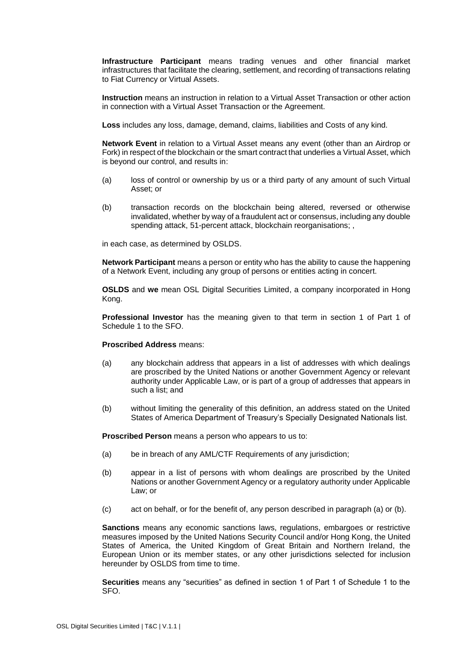**Infrastructure Participant** means trading venues and other financial market infrastructures that facilitate the clearing, settlement, and recording of transactions relating to Fiat Currency or Virtual Assets.

**Instruction** means an instruction in relation to a Virtual Asset Transaction or other action in connection with a Virtual Asset Transaction or the Agreement.

**Loss** includes any loss, damage, demand, claims, liabilities and Costs of any kind.

**Network Event** in relation to a Virtual Asset means any event (other than an Airdrop or Fork) in respect of the blockchain or the smart contract that underlies a Virtual Asset, which is beyond our control, and results in:

- (a) loss of control or ownership by us or a third party of any amount of such Virtual Asset; or
- (b) transaction records on the blockchain being altered, reversed or otherwise invalidated, whether by way of a fraudulent act or consensus, including any double spending attack, 51-percent attack, blockchain reorganisations; ,

in each case, as determined by OSLDS.

**Network Participant** means a person or entity who has the ability to cause the happening of a Network Event, including any group of persons or entities acting in concert.

**OSLDS** and **we** mean OSL Digital Securities Limited, a company incorporated in Hong Kong.

**Professional Investor** has the meaning given to that term in section 1 of Part 1 of Schedule 1 to the SFO.

#### **Proscribed Address** means:

- (a) any blockchain address that appears in a list of addresses with which dealings are proscribed by the United Nations or another Government Agency or relevant authority under Applicable Law, or is part of a group of addresses that appears in such a list; and
- (b) without limiting the generality of this definition, an address stated on the United States of America Department of Treasury's Specially Designated Nationals list.

**Proscribed Person** means a person who appears to us to:

- (a) be in breach of any AML/CTF Requirements of any jurisdiction;
- (b) appear in a list of persons with whom dealings are proscribed by the United Nations or another Government Agency or a regulatory authority under Applicable Law; or
- (c) act on behalf, or for the benefit of, any person described in paragraph (a) or (b).

**Sanctions** means any economic sanctions laws, regulations, embargoes or restrictive measures imposed by the United Nations Security Council and/or Hong Kong, the United States of America, the United Kingdom of Great Britain and Northern Ireland, the European Union or its member states, or any other jurisdictions selected for inclusion hereunder by OSLDS from time to time.

**Securities** means any "securities" as defined in section 1 of Part 1 of Schedule 1 to the SFO.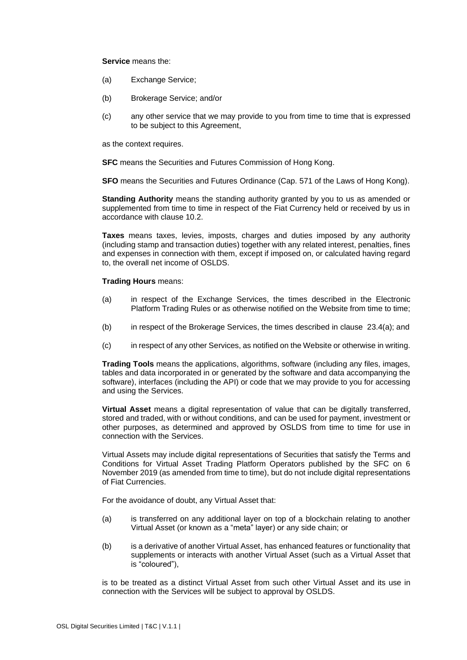#### **Service** means the:

- (a) Exchange Service;
- (b) Brokerage Service; and/or
- (c) any other service that we may provide to you from time to time that is expressed to be subject to this Agreement,

as the context requires.

**SFC** means the Securities and Futures Commission of Hong Kong.

**SFO** means the Securities and Futures Ordinance (Cap. 571 of the Laws of Hong Kong).

**Standing Authority** means the standing authority granted by you to us as amended or supplemented from time to time in respect of the Fiat Currency held or received by us in accordance with clause [10.2.](#page-29-0)

**Taxes** means taxes, levies, imposts, charges and duties imposed by any authority (including stamp and transaction duties) together with any related interest, penalties, fines and expenses in connection with them, except if imposed on, or calculated having regard to, the overall net income of OSLDS.

#### **Trading Hours** means:

- (a) in respect of the Exchange Services, the times described in the Electronic Platform Trading Rules or as otherwise notified on the Website from time to time;
- (b) in respect of the Brokerage Services, the times described in clause [23.4\(a\);](#page-49-0) and
- (c) in respect of any other Services, as notified on the Website or otherwise in writing.

**Trading Tools** means the applications, algorithms, software (including any files, images, tables and data incorporated in or generated by the software and data accompanying the software), interfaces (including the API) or code that we may provide to you for accessing and using the Services.

**Virtual Asset** means a digital representation of value that can be digitally transferred, stored and traded, with or without conditions, and can be used for payment, investment or other purposes, as determined and approved by OSLDS from time to time for use in connection with the Services.

Virtual Assets may include digital representations of Securities that satisfy the Terms and Conditions for Virtual Asset Trading Platform Operators published by the SFC on 6 November 2019 (as amended from time to time), but do not include digital representations of Fiat Currencies.

For the avoidance of doubt, any Virtual Asset that:

- (a) is transferred on any additional layer on top of a blockchain relating to another Virtual Asset (or known as a "meta" layer) or any side chain; or
- (b) is a derivative of another Virtual Asset, has enhanced features or functionality that supplements or interacts with another Virtual Asset (such as a Virtual Asset that is "coloured"),

is to be treated as a distinct Virtual Asset from such other Virtual Asset and its use in connection with the Services will be subject to approval by OSLDS.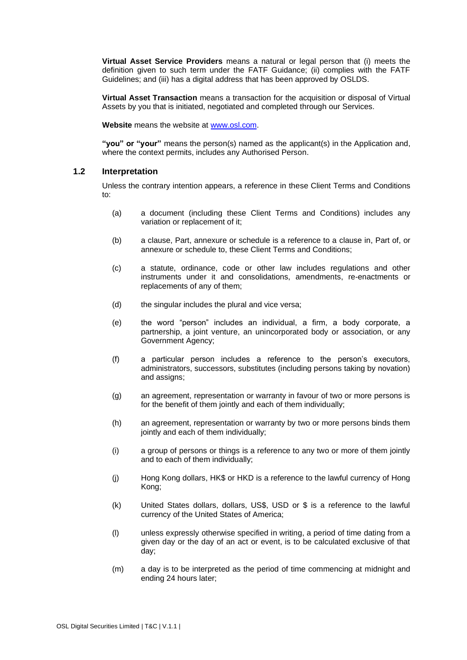**Virtual Asset Service Providers** means a natural or legal person that (i) meets the definition given to such term under the FATF Guidance; (ii) complies with the FATF Guidelines; and (iii) has a digital address that has been approved by OSLDS.

**Virtual Asset Transaction** means a transaction for the acquisition or disposal of Virtual Assets by you that is initiated, negotiated and completed through our Services.

**Website** means the website at [www.osl.com.](http://www.osl.com/)

**"you" or "your"** means the person(s) named as the applicant(s) in the Application and, where the context permits, includes any Authorised Person.

#### **1.2 Interpretation**

Unless the contrary intention appears, a reference in these Client Terms and Conditions to:

- (a) a document (including these Client Terms and Conditions) includes any variation or replacement of it;
- (b) a clause, Part, annexure or schedule is a reference to a clause in, Part of, or annexure or schedule to, these Client Terms and Conditions;
- (c) a statute, ordinance, code or other law includes regulations and other instruments under it and consolidations, amendments, re-enactments or replacements of any of them;
- (d) the singular includes the plural and vice versa;
- (e) the word "person" includes an individual, a firm, a body corporate, a partnership, a joint venture, an unincorporated body or association, or any Government Agency;
- (f) a particular person includes a reference to the person's executors, administrators, successors, substitutes (including persons taking by novation) and assigns;
- (g) an agreement, representation or warranty in favour of two or more persons is for the benefit of them jointly and each of them individually;
- (h) an agreement, representation or warranty by two or more persons binds them jointly and each of them individually;
- (i) a group of persons or things is a reference to any two or more of them jointly and to each of them individually;
- (j) Hong Kong dollars, HK\$ or HKD is a reference to the lawful currency of Hong Kong;
- (k) United States dollars, dollars, US\$, USD or \$ is a reference to the lawful currency of the United States of America;
- (l) unless expressly otherwise specified in writing, a period of time dating from a given day or the day of an act or event, is to be calculated exclusive of that day;
- (m) a day is to be interpreted as the period of time commencing at midnight and ending 24 hours later;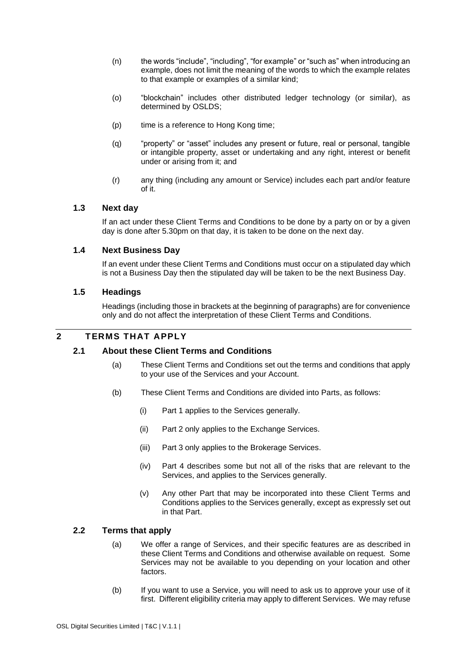- (n) the words "include", "including", "for example" or "such as" when introducing an example, does not limit the meaning of the words to which the example relates to that example or examples of a similar kind;
- (o) "blockchain" includes other distributed ledger technology (or similar), as determined by OSLDS;
- (p) time is a reference to Hong Kong time;
- (q) "property" or "asset" includes any present or future, real or personal, tangible or intangible property, asset or undertaking and any right, interest or benefit under or arising from it; and
- (r) any thing (including any amount or Service) includes each part and/or feature of it.

#### **1.3 Next day**

If an act under these Client Terms and Conditions to be done by a party on or by a given day is done after 5.30pm on that day, it is taken to be done on the next day.

#### **1.4 Next Business Day**

If an event under these Client Terms and Conditions must occur on a stipulated day which is not a Business Day then the stipulated day will be taken to be the next Business Day.

#### **1.5 Headings**

Headings (including those in brackets at the beginning of paragraphs) are for convenience only and do not affect the interpretation of these Client Terms and Conditions.

### **2 TERMS THAT APPLY**

#### **2.1 About these Client Terms and Conditions**

- (a) These Client Terms and Conditions set out the terms and conditions that apply to your use of the Services and your Account.
- (b) These Client Terms and Conditions are divided into Parts, as follows:
	- (i) [Part 1](#page-5-0) applies to the Services generally.
	- (ii) [Part 2](#page-44-0) only applies to the Exchange Services.
	- (iii) [Part 3](#page-48-1) only applies to the Brokerage Services.
	- (iv) [Part 4](#page-52-0) describes some but not all of the risks that are relevant to the Services, and applies to the Services generally.
	- (v) Any other Part that may be incorporated into these Client Terms and Conditions applies to the Services generally, except as expressly set out in that Part.

#### **2.2 Terms that apply**

- (a) We offer a range of Services, and their specific features are as described in these Client Terms and Conditions and otherwise available on request. Some Services may not be available to you depending on your location and other factors.
- (b) If you want to use a Service, you will need to ask us to approve your use of it first. Different eligibility criteria may apply to different Services. We may refuse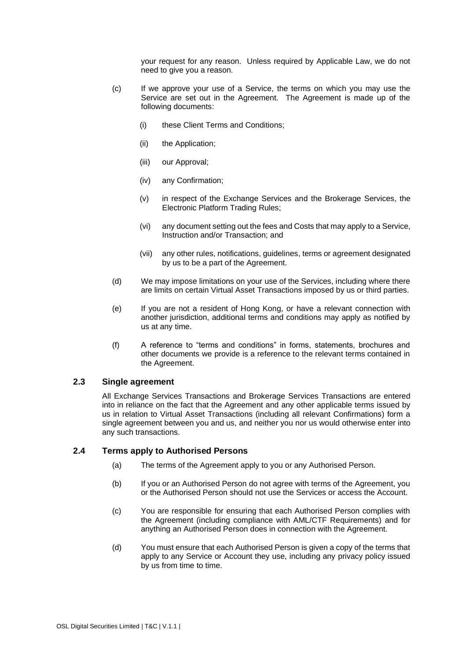your request for any reason. Unless required by Applicable Law, we do not need to give you a reason.

- <span id="page-13-0"></span>(c) If we approve your use of a Service, the terms on which you may use the Service are set out in the Agreement. The Agreement is made up of the following documents:
	- (i) these Client Terms and Conditions;
	- (ii) the Application;
	- (iii) our Approval;
	- (iv) any Confirmation;
	- (v) in respect of the Exchange Services and the Brokerage Services, the Electronic Platform Trading Rules;
	- (vi) any document setting out the fees and Costs that may apply to a Service, Instruction and/or Transaction; and
	- (vii) any other rules, notifications, guidelines, terms or agreement designated by us to be a part of the Agreement.
- (d) We may impose limitations on your use of the Services, including where there are limits on certain Virtual Asset Transactions imposed by us or third parties.
- (e) If you are not a resident of Hong Kong, or have a relevant connection with another jurisdiction, additional terms and conditions may apply as notified by us at any time.
- (f) A reference to "terms and conditions" in forms, statements, brochures and other documents we provide is a reference to the relevant terms contained in the Agreement.

### **2.3 Single agreement**

All Exchange Services Transactions and Brokerage Services Transactions are entered into in reliance on the fact that the Agreement and any other applicable terms issued by us in relation to Virtual Asset Transactions (including all relevant Confirmations) form a single agreement between you and us, and neither you nor us would otherwise enter into any such transactions.

#### **2.4 Terms apply to Authorised Persons**

- (a) The terms of the Agreement apply to you or any Authorised Person.
- (b) If you or an Authorised Person do not agree with terms of the Agreement, you or the Authorised Person should not use the Services or access the Account.
- (c) You are responsible for ensuring that each Authorised Person complies with the Agreement (including compliance with AML/CTF Requirements) and for anything an Authorised Person does in connection with the Agreement.
- (d) You must ensure that each Authorised Person is given a copy of the terms that apply to any Service or Account they use, including any privacy policy issued by us from time to time.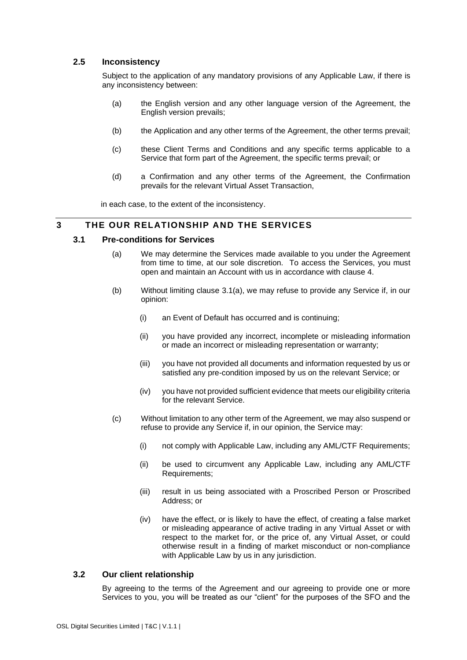### <span id="page-14-1"></span>**2.5 Inconsistency**

Subject to the application of any mandatory provisions of any Applicable Law, if there is any inconsistency between:

- (a) the English version and any other language version of the Agreement, the English version prevails;
- (b) the Application and any other terms of the Agreement, the other terms prevail;
- (c) these Client Terms and Conditions and any specific terms applicable to a Service that form part of the Agreement, the specific terms prevail; or
- (d) a Confirmation and any other terms of the Agreement, the Confirmation prevails for the relevant Virtual Asset Transaction,

in each case, to the extent of the inconsistency.

### **3 THE OUR RELATIONSHIP AND THE SERVICES**

#### <span id="page-14-0"></span>**3.1 Pre-conditions for Services**

- (a) We may determine the Services made available to you under the Agreement from time to time, at our sole discretion. To access the Services, you must open and maintain an Account with us in accordance with clause [4.](#page-16-0)
- (b) Without limiting clause [3.1\(a\),](#page-14-0) we may refuse to provide any Service if, in our opinion:
	- (i) an Event of Default has occurred and is continuing;
	- (ii) you have provided any incorrect, incomplete or misleading information or made an incorrect or misleading representation or warranty;
	- (iii) you have not provided all documents and information requested by us or satisfied any pre-condition imposed by us on the relevant Service; or
	- (iv) you have not provided sufficient evidence that meets our eligibility criteria for the relevant Service.
- (c) Without limitation to any other term of the Agreement, we may also suspend or refuse to provide any Service if, in our opinion, the Service may:
	- (i) not comply with Applicable Law, including any AML/CTF Requirements;
	- (ii) be used to circumvent any Applicable Law, including any AML/CTF Requirements;
	- (iii) result in us being associated with a Proscribed Person or Proscribed Address; or
	- (iv) have the effect, or is likely to have the effect, of creating a false market or misleading appearance of active trading in any Virtual Asset or with respect to the market for, or the price of, any Virtual Asset, or could otherwise result in a finding of market misconduct or non-compliance with Applicable Law by us in any jurisdiction.

#### **3.2 Our client relationship**

By agreeing to the terms of the Agreement and our agreeing to provide one or more Services to you, you will be treated as our "client" for the purposes of the SFO and the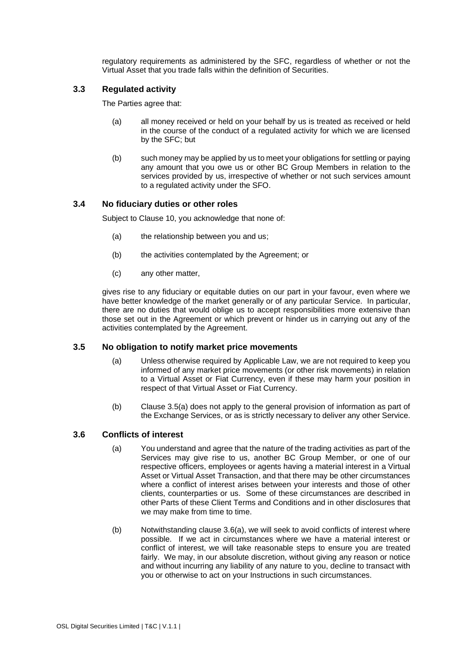regulatory requirements as administered by the SFC, regardless of whether or not the Virtual Asset that you trade falls within the definition of Securities.

### **3.3 Regulated activity**

The Parties agree that:

- (a) all money received or held on your behalf by us is treated as received or held in the course of the conduct of a regulated activity for which we are licensed by the SFC; but
- (b) such money may be applied by us to meet your obligations for settling or paying any amount that you owe us or other BC Group Members in relation to the services provided by us, irrespective of whether or not such services amount to a regulated activity under the SFO.

### **3.4 No fiduciary duties or other roles**

Subject to Clause 10, you acknowledge that none of:

- (a) the relationship between you and us;
- (b) the activities contemplated by the Agreement; or
- (c) any other matter,

gives rise to any fiduciary or equitable duties on our part in your favour, even where we have better knowledge of the market generally or of any particular Service. In particular, there are no duties that would oblige us to accept responsibilities more extensive than those set out in the Agreement or which prevent or hinder us in carrying out any of the activities contemplated by the Agreement.

#### <span id="page-15-0"></span>**3.5 No obligation to notify market price movements**

- (a) Unless otherwise required by Applicable Law, we are not required to keep you informed of any market price movements (or other risk movements) in relation to a Virtual Asset or Fiat Currency, even if these may harm your position in respect of that Virtual Asset or Fiat Currency.
- (b) Clause [3.5\(a\)](#page-15-0) does not apply to the general provision of information as part of the Exchange Services, or as is strictly necessary to deliver any other Service.

#### <span id="page-15-2"></span>**3.6 Conflicts of interest**

- <span id="page-15-1"></span>(a) You understand and agree that the nature of the trading activities as part of the Services may give rise to us, another BC Group Member, or one of our respective officers, employees or agents having a material interest in a Virtual Asset or Virtual Asset Transaction, and that there may be other circumstances where a conflict of interest arises between your interests and those of other clients, counterparties or us. Some of these circumstances are described in other Parts of these Client Terms and Conditions and in other disclosures that we may make from time to time.
- (b) Notwithstanding clause [3.6\(a\),](#page-15-1) we will seek to avoid conflicts of interest where possible. If we act in circumstances where we have a material interest or conflict of interest, we will take reasonable steps to ensure you are treated fairly. We may, in our absolute discretion, without giving any reason or notice and without incurring any liability of any nature to you, decline to transact with you or otherwise to act on your Instructions in such circumstances.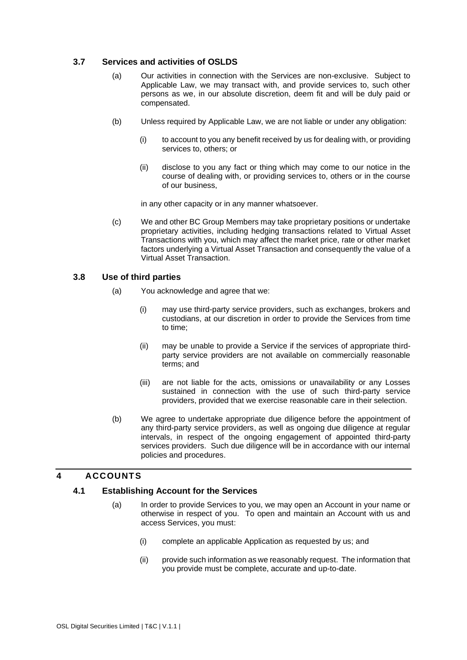### **3.7 Services and activities of OSLDS**

- (a) Our activities in connection with the Services are non-exclusive. Subject to Applicable Law, we may transact with, and provide services to, such other persons as we, in our absolute discretion, deem fit and will be duly paid or compensated.
- (b) Unless required by Applicable Law, we are not liable or under any obligation:
	- (i) to account to you any benefit received by us for dealing with, or providing services to, others; or
	- (ii) disclose to you any fact or thing which may come to our notice in the course of dealing with, or providing services to, others or in the course of our business,

in any other capacity or in any manner whatsoever.

(c) We and other BC Group Members may take proprietary positions or undertake proprietary activities, including hedging transactions related to Virtual Asset Transactions with you, which may affect the market price, rate or other market factors underlying a Virtual Asset Transaction and consequently the value of a Virtual Asset Transaction.

### <span id="page-16-1"></span>**3.8 Use of third parties**

- (a) You acknowledge and agree that we:
	- (i) may use third-party service providers, such as exchanges, brokers and custodians, at our discretion in order to provide the Services from time to time;
	- (ii) may be unable to provide a Service if the services of appropriate thirdparty service providers are not available on commercially reasonable terms; and
	- (iii) are not liable for the acts, omissions or unavailability or any Losses sustained in connection with the use of such third-party service providers, provided that we exercise reasonable care in their selection.
- (b) We agree to undertake appropriate due diligence before the appointment of any third-party service providers, as well as ongoing due diligence at regular intervals, in respect of the ongoing engagement of appointed third-party services providers. Such due diligence will be in accordance with our internal policies and procedures.

### <span id="page-16-0"></span>**4 ACCOUNTS**

### **4.1 Establishing Account for the Services**

- (a) In order to provide Services to you, we may open an Account in your name or otherwise in respect of you. To open and maintain an Account with us and access Services, you must:
	- (i) complete an applicable Application as requested by us; and
	- (ii) provide such information as we reasonably request. The information that you provide must be complete, accurate and up-to-date.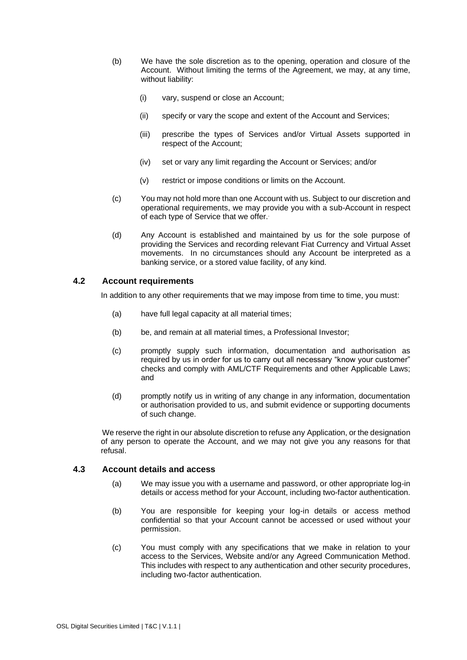- (b) We have the sole discretion as to the opening, operation and closure of the Account. Without limiting the terms of the Agreement, we may, at any time, without liability:
	- (i) vary, suspend or close an Account;
	- (ii) specify or vary the scope and extent of the Account and Services;
	- (iii) prescribe the types of Services and/or Virtual Assets supported in respect of the Account;
	- (iv) set or vary any limit regarding the Account or Services; and/or
	- (v) restrict or impose conditions or limits on the Account.
- (c) You may not hold more than one Account with us. Subject to our discretion and operational requirements, we may provide you with a sub-Account in respect of each type of Service that we offer..
- (d) Any Account is established and maintained by us for the sole purpose of providing the Services and recording relevant Fiat Currency and Virtual Asset movements. In no circumstances should any Account be interpreted as a banking service, or a stored value facility, of any kind.

### <span id="page-17-0"></span>**4.2 Account requirements**

In addition to any other requirements that we may impose from time to time, you must:

- (a) have full legal capacity at all material times;
- (b) be, and remain at all material times, a Professional Investor;
- (c) promptly supply such information, documentation and authorisation as required by us in order for us to carry out all necessary "know your customer" checks and comply with AML/CTF Requirements and other Applicable Laws; and
- (d) promptly notify us in writing of any change in any information, documentation or authorisation provided to us, and submit evidence or supporting documents of such change.

We reserve the right in our absolute discretion to refuse any Application, or the designation of any person to operate the Account, and we may not give you any reasons for that refusal.

#### **4.3 Account details and access**

- (a) We may issue you with a username and password, or other appropriate log-in details or access method for your Account, including two-factor authentication.
- (b) You are responsible for keeping your log-in details or access method confidential so that your Account cannot be accessed or used without your permission.
- (c) You must comply with any specifications that we make in relation to your access to the Services, Website and/or any Agreed Communication Method. This includes with respect to any authentication and other security procedures, including two-factor authentication.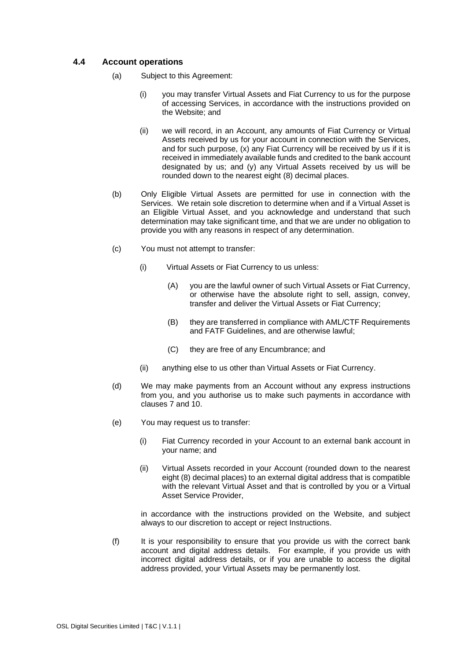### **4.4 Account operations**

- (a) Subject to this Agreement:
	- (i) you may transfer Virtual Assets and Fiat Currency to us for the purpose of accessing Services, in accordance with the instructions provided on the Website; and
	- (ii) we will record, in an Account, any amounts of Fiat Currency or Virtual Assets received by us for your account in connection with the Services, and for such purpose, (x) any Fiat Currency will be received by us if it is received in immediately available funds and credited to the bank account designated by us; and (y) any Virtual Assets received by us will be rounded down to the nearest eight (8) decimal places.
- (b) Only Eligible Virtual Assets are permitted for use in connection with the Services. We retain sole discretion to determine when and if a Virtual Asset is an Eligible Virtual Asset, and you acknowledge and understand that such determination may take significant time, and that we are under no obligation to provide you with any reasons in respect of any determination.
- (c) You must not attempt to transfer:
	- (i) Virtual Assets or Fiat Currency to us unless:
		- (A) you are the lawful owner of such Virtual Assets or Fiat Currency, or otherwise have the absolute right to sell, assign, convey, transfer and deliver the Virtual Assets or Fiat Currency;
		- (B) they are transferred in compliance with AML/CTF Requirements and FATF Guidelines, and are otherwise lawful;
		- (C) they are free of any Encumbrance; and
	- (ii) anything else to us other than Virtual Assets or Fiat Currency.
- (d) We may make payments from an Account without any express instructions from you, and you authorise us to make such payments in accordance with clauses [7](#page-23-0) and [10.](#page-29-1)
- (e) You may request us to transfer:
	- (i) Fiat Currency recorded in your Account to an external bank account in your name; and
	- (ii) Virtual Assets recorded in your Account (rounded down to the nearest eight (8) decimal places) to an external digital address that is compatible with the relevant Virtual Asset and that is controlled by you or a Virtual Asset Service Provider,

in accordance with the instructions provided on the Website, and subject always to our discretion to accept or reject Instructions.

(f) It is your responsibility to ensure that you provide us with the correct bank account and digital address details. For example, if you provide us with incorrect digital address details, or if you are unable to access the digital address provided, your Virtual Assets may be permanently lost.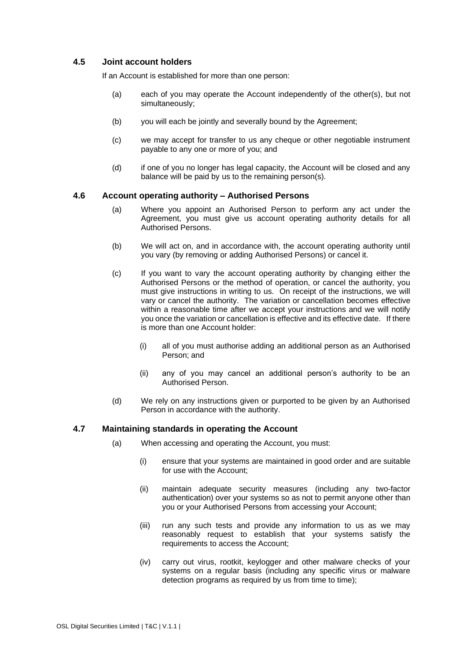### **4.5 Joint account holders**

If an Account is established for more than one person:

- (a) each of you may operate the Account independently of the other(s), but not simultaneously;
- (b) you will each be jointly and severally bound by the Agreement;
- (c) we may accept for transfer to us any cheque or other negotiable instrument payable to any one or more of you; and
- (d) if one of you no longer has legal capacity, the Account will be closed and any balance will be paid by us to the remaining person(s).

#### **4.6 Account operating authority – Authorised Persons**

- (a) Where you appoint an Authorised Person to perform any act under the Agreement, you must give us account operating authority details for all Authorised Persons.
- (b) We will act on, and in accordance with, the account operating authority until you vary (by removing or adding Authorised Persons) or cancel it.
- (c) If you want to vary the account operating authority by changing either the Authorised Persons or the method of operation, or cancel the authority, you must give instructions in writing to us. On receipt of the instructions, we will vary or cancel the authority. The variation or cancellation becomes effective within a reasonable time after we accept your instructions and we will notify you once the variation or cancellation is effective and its effective date. If there is more than one Account holder:
	- (i) all of you must authorise adding an additional person as an Authorised Person; and
	- (ii) any of you may cancel an additional person's authority to be an Authorised Person.
- (d) We rely on any instructions given or purported to be given by an Authorised Person in accordance with the authority.

#### **4.7 Maintaining standards in operating the Account**

- (a) When accessing and operating the Account, you must:
	- (i) ensure that your systems are maintained in good order and are suitable for use with the Account;
	- (ii) maintain adequate security measures (including any two-factor authentication) over your systems so as not to permit anyone other than you or your Authorised Persons from accessing your Account;
	- (iii) run any such tests and provide any information to us as we may reasonably request to establish that your systems satisfy the requirements to access the Account;
	- (iv) carry out virus, rootkit, keylogger and other malware checks of your systems on a regular basis (including any specific virus or malware detection programs as required by us from time to time);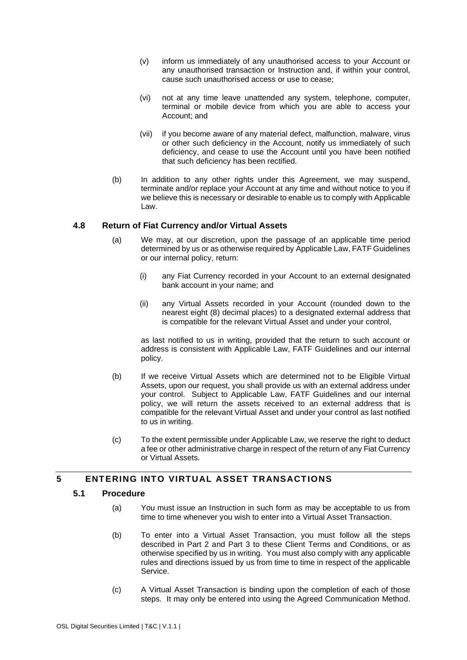- (v) inform us immediately of any unauthorised access to your Account or any unauthorised transaction or Instruction and, if within your control, cause such unauthorised access or use to cease;
- (vi) not at any time leave unattended any system, telephone, computer, terminal or mobile device from which you are able to access your Account; and
- (vii) if you become aware of any material defect, malfunction, malware, virus or other such deficiency in the Account, notify us immediately of such deficiency, and cease to use the Account until you have been notified that such deficiency has been rectified.
- (b) In addition to any other rights under this Agreement, we may suspend, terminate and/or replace your Account at any time and without notice to you if we believe this is necessary or desirable to enable us to comply with Applicable Law.

### **4.8 Return of Fiat Currency and/or Virtual Assets**

- (a) We may, at our discretion, upon the passage of an applicable time period determined by us or as otherwise required by Applicable Law, FATF Guidelines or our internal policy, return:
	- (i) any Fiat Currency recorded in your Account to an external designated bank account in your name; and
	- (ii) any Virtual Assets recorded in your Account (rounded down to the nearest eight (8) decimal places) to a designated external address that is compatible for the relevant Virtual Asset and under your control,

as last notified to us in writing, provided that the return to such account or address is consistent with Applicable Law, FATF Guidelines and our internal policy.

- (b) If we receive Virtual Assets which are determined not to be Eligible Virtual Assets, upon our request, you shall provide us with an external address under your control. Subject to Applicable Law, FATF Guidelines and our internal policy, we will return the assets received to an external address that is compatible for the relevant Virtual Asset and under your control as last notified to us in writing.
- (c) To the extent permissible under Applicable Law, we reserve the right to deduct a fee or other administrative charge in respect of the return of any Fiat Currency or Virtual Assets.

### <span id="page-20-0"></span>**5 ENTERING INTO VIRTUAL ASSET TRANSACTIONS**

#### **5.1 Procedure**

- (a) You must issue an Instruction in such form as may be acceptable to us from time to time whenever you wish to enter into a Virtual Asset Transaction.
- (b) To enter into a Virtual Asset Transaction, you must follow all the steps described in [Part 2](#page-44-0) and [Part 3](#page-48-1) to these Client Terms and Conditions, or as otherwise specified by us in writing. You must also comply with any applicable rules and directions issued by us from time to time in respect of the applicable Service.
- <span id="page-20-1"></span>(c) A Virtual Asset Transaction is binding upon the completion of each of those steps. It may only be entered into using the Agreed Communication Method.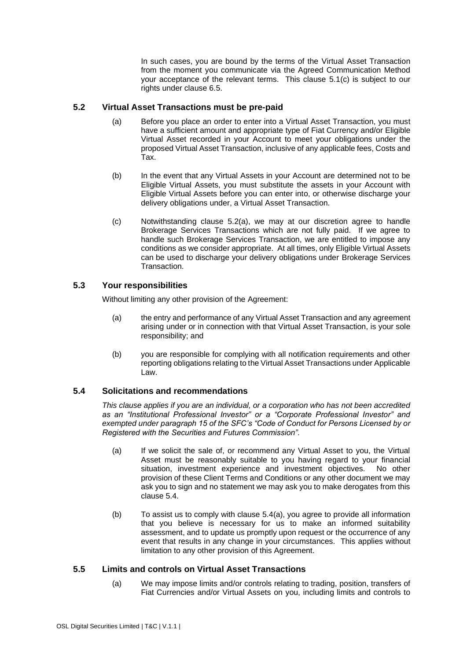In such cases, you are bound by the terms of the Virtual Asset Transaction from the moment you communicate via the Agreed Communication Method your acceptance of the relevant terms. This clause [5.1](#page-20-0)[\(c\)](#page-20-1) is subject to our rights under clause [6.5.](#page-23-1)

### <span id="page-21-0"></span>**5.2 Virtual Asset Transactions must be pre-paid**

- (a) Before you place an order to enter into a Virtual Asset Transaction, you must have a sufficient amount and appropriate type of Fiat Currency and/or Eligible Virtual Asset recorded in your Account to meet your obligations under the proposed Virtual Asset Transaction, inclusive of any applicable fees, Costs and Tax.
- (b) In the event that any Virtual Assets in your Account are determined not to be Eligible Virtual Assets, you must substitute the assets in your Account with Eligible Virtual Assets before you can enter into, or otherwise discharge your delivery obligations under, a Virtual Asset Transaction.
- (c) Notwithstanding clause [5.2\(a\),](#page-21-0) we may at our discretion agree to handle Brokerage Services Transactions which are not fully paid. If we agree to handle such Brokerage Services Transaction, we are entitled to impose any conditions as we consider appropriate. At all times, only Eligible Virtual Assets can be used to discharge your delivery obligations under Brokerage Services Transaction.

### **5.3 Your responsibilities**

Without limiting any other provision of the Agreement:

- (a) the entry and performance of any Virtual Asset Transaction and any agreement arising under or in connection with that Virtual Asset Transaction, is your sole responsibility; and
- (b) you are responsible for complying with all notification requirements and other reporting obligations relating to the Virtual Asset Transactions under Applicable Law.

### <span id="page-21-1"></span>**5.4 Solicitations and recommendations**

*This clause applies if you are an individual, or a corporation who has not been accredited as an "Institutional Professional Investor" or a "Corporate Professional Investor" and exempted under paragraph 15 of the SFC's "Code of Conduct for Persons Licensed by or Registered with the Securities and Futures Commission".* 

- <span id="page-21-2"></span>(a) If we solicit the sale of, or recommend any Virtual Asset to you, the Virtual Asset must be reasonably suitable to you having regard to your financial situation, investment experience and investment objectives. No other provision of these Client Terms and Conditions or any other document we may ask you to sign and no statement we may ask you to make derogates from this clause [5.4.](#page-21-1)
- (b) To assist us to comply with clause [5.4\(a\),](#page-21-2) you agree to provide all information that you believe is necessary for us to make an informed suitability assessment, and to update us promptly upon request or the occurrence of any event that results in any change in your circumstances. This applies without limitation to any other provision of this Agreement.

### <span id="page-21-4"></span><span id="page-21-3"></span>**5.5 Limits and controls on Virtual Asset Transactions**

(a) We may impose limits and/or controls relating to trading, position, transfers of Fiat Currencies and/or Virtual Assets on you, including limits and controls to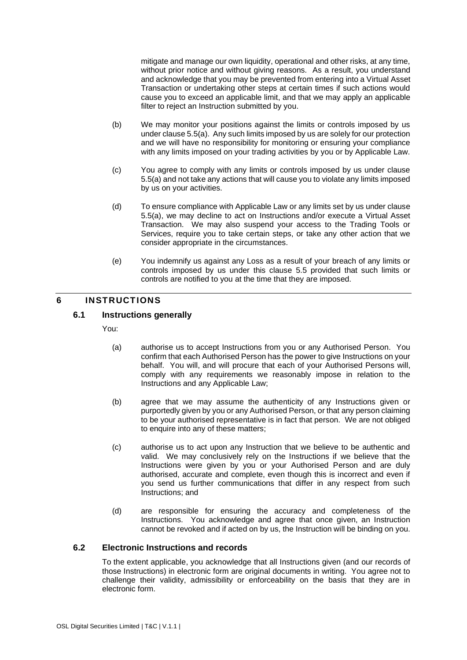mitigate and manage our own liquidity, operational and other risks, at any time, without prior notice and without giving reasons. As a result, you understand and acknowledge that you may be prevented from entering into a Virtual Asset Transaction or undertaking other steps at certain times if such actions would cause you to exceed an applicable limit, and that we may apply an applicable filter to reject an Instruction submitted by you.

- (b) We may monitor your positions against the limits or controls imposed by us under claus[e 5.5\(a\).](#page-21-3) Any such limits imposed by us are solely for our protection and we will have no responsibility for monitoring or ensuring your compliance with any limits imposed on your trading activities by you or by Applicable Law.
- (c) You agree to comply with any limits or controls imposed by us under clause [5.5\(a\)](#page-21-3) and not take any actions that will cause you to violate any limits imposed by us on your activities.
- (d) To ensure compliance with Applicable Law or any limits set by us under clause [5.5\(a\),](#page-21-3) we may decline to act on Instructions and/or execute a Virtual Asset Transaction. We may also suspend your access to the Trading Tools or Services, require you to take certain steps, or take any other action that we consider appropriate in the circumstances.
- (e) You indemnify us against any Loss as a result of your breach of any limits or controls imposed by us under this clause [5.5](#page-21-4) provided that such limits or controls are notified to you at the time that they are imposed.

### **6 INSTRUCTIONS**

### **6.1 Instructions generally**

You:

- (a) authorise us to accept Instructions from you or any Authorised Person. You confirm that each Authorised Person has the power to give Instructions on your behalf. You will, and will procure that each of your Authorised Persons will, comply with any requirements we reasonably impose in relation to the Instructions and any Applicable Law;
- (b) agree that we may assume the authenticity of any Instructions given or purportedly given by you or any Authorised Person, or that any person claiming to be your authorised representative is in fact that person. We are not obliged to enquire into any of these matters:
- (c) authorise us to act upon any Instruction that we believe to be authentic and valid. We may conclusively rely on the Instructions if we believe that the Instructions were given by you or your Authorised Person and are duly authorised, accurate and complete, even though this is incorrect and even if you send us further communications that differ in any respect from such Instructions; and
- (d) are responsible for ensuring the accuracy and completeness of the Instructions. You acknowledge and agree that once given, an Instruction cannot be revoked and if acted on by us, the Instruction will be binding on you.

### **6.2 Electronic Instructions and records**

To the extent applicable, you acknowledge that all Instructions given (and our records of those Instructions) in electronic form are original documents in writing. You agree not to challenge their validity, admissibility or enforceability on the basis that they are in electronic form.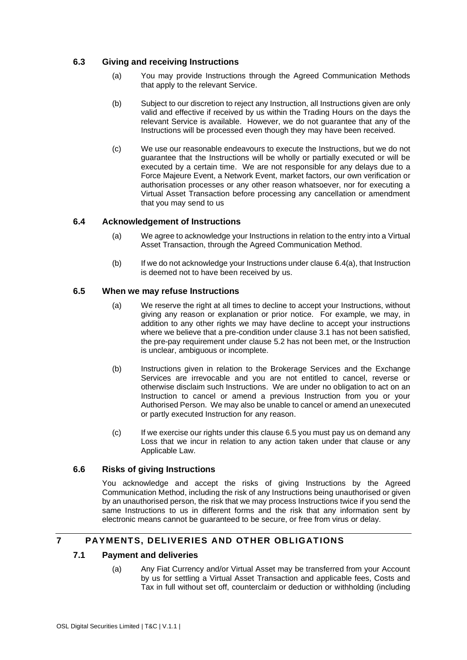### **6.3 Giving and receiving Instructions**

- (a) You may provide Instructions through the Agreed Communication Methods that apply to the relevant Service.
- (b) Subject to our discretion to reject any Instruction, all Instructions given are only valid and effective if received by us within the Trading Hours on the days the relevant Service is available. However, we do not guarantee that any of the Instructions will be processed even though they may have been received.
- (c) We use our reasonable endeavours to execute the Instructions, but we do not guarantee that the Instructions will be wholly or partially executed or will be executed by a certain time. We are not responsible for any delays due to a Force Majeure Event, a Network Event, market factors, our own verification or authorisation processes or any other reason whatsoever, nor for executing a Virtual Asset Transaction before processing any cancellation or amendment that you may send to us

### <span id="page-23-2"></span>**6.4 Acknowledgement of Instructions**

- (a) We agree to acknowledge your Instructions in relation to the entry into a Virtual Asset Transaction, through the Agreed Communication Method.
- (b) If we do not acknowledge your Instructions under clause [6.4\(a\),](#page-23-2) that Instruction is deemed not to have been received by us.

### <span id="page-23-1"></span>**6.5 When we may refuse Instructions**

- (a) We reserve the right at all times to decline to accept your Instructions, without giving any reason or explanation or prior notice. For example, we may, in addition to any other rights we may have decline to accept your instructions where we believe that a pre-condition under clause 3.1 has not been satisfied. the pre-pay requirement under clause 5.2 has not been met, or the Instruction is unclear, ambiguous or incomplete.
- (b) Instructions given in relation to the Brokerage Services and the Exchange Services are irrevocable and you are not entitled to cancel, reverse or otherwise disclaim such Instructions. We are under no obligation to act on an Instruction to cancel or amend a previous Instruction from you or your Authorised Person. We may also be unable to cancel or amend an unexecuted or partly executed Instruction for any reason.
- (c) If we exercise our rights under this clause [6.5](#page-23-1) you must pay us on demand any Loss that we incur in relation to any action taken under that clause or any Applicable Law.

#### **6.6 Risks of giving Instructions**

You acknowledge and accept the risks of giving Instructions by the Agreed Communication Method, including the risk of any Instructions being unauthorised or given by an unauthorised person, the risk that we may process Instructions twice if you send the same Instructions to us in different forms and the risk that any information sent by electronic means cannot be guaranteed to be secure, or free from virus or delay.

### <span id="page-23-0"></span>**7 PAYMENTS, DELIVERIES AND OTHER OBLIGATIONS**

#### **7.1 Payment and deliveries**

(a) Any Fiat Currency and/or Virtual Asset may be transferred from your Account by us for settling a Virtual Asset Transaction and applicable fees, Costs and Tax in full without set off, counterclaim or deduction or withholding (including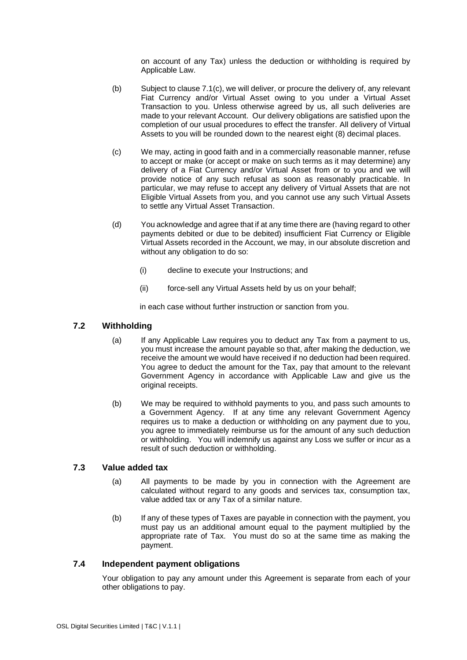on account of any Tax) unless the deduction or withholding is required by Applicable Law.

- (b) Subject to claus[e 7.1\(c\),](#page-24-0) we will deliver, or procure the delivery of, any relevant Fiat Currency and/or Virtual Asset owing to you under a Virtual Asset Transaction to you. Unless otherwise agreed by us, all such deliveries are made to your relevant Account. Our delivery obligations are satisfied upon the completion of our usual procedures to effect the transfer. All delivery of Virtual Assets to you will be rounded down to the nearest eight (8) decimal places.
- <span id="page-24-0"></span>(c) We may, acting in good faith and in a commercially reasonable manner, refuse to accept or make (or accept or make on such terms as it may determine) any delivery of a Fiat Currency and/or Virtual Asset from or to you and we will provide notice of any such refusal as soon as reasonably practicable. In particular, we may refuse to accept any delivery of Virtual Assets that are not Eligible Virtual Assets from you, and you cannot use any such Virtual Assets to settle any Virtual Asset Transaction.
- (d) You acknowledge and agree that if at any time there are (having regard to other payments debited or due to be debited) insufficient Fiat Currency or Eligible Virtual Assets recorded in the Account, we may, in our absolute discretion and without any obligation to do so:
	- (i) decline to execute your Instructions; and
	- (ii) force-sell any Virtual Assets held by us on your behalf;

in each case without further instruction or sanction from you.

### **7.2 Withholding**

- (a) If any Applicable Law requires you to deduct any Tax from a payment to us, you must increase the amount payable so that, after making the deduction, we receive the amount we would have received if no deduction had been required. You agree to deduct the amount for the Tax, pay that amount to the relevant Government Agency in accordance with Applicable Law and give us the original receipts.
- (b) We may be required to withhold payments to you, and pass such amounts to a Government Agency. If at any time any relevant Government Agency requires us to make a deduction or withholding on any payment due to you, you agree to immediately reimburse us for the amount of any such deduction or withholding. You will indemnify us against any Loss we suffer or incur as a result of such deduction or withholding.

### **7.3 Value added tax**

- (a) All payments to be made by you in connection with the Agreement are calculated without regard to any goods and services tax, consumption tax, value added tax or any Tax of a similar nature.
- (b) If any of these types of Taxes are payable in connection with the payment, you must pay us an additional amount equal to the payment multiplied by the appropriate rate of Tax. You must do so at the same time as making the payment.

#### **7.4 Independent payment obligations**

Your obligation to pay any amount under this Agreement is separate from each of your other obligations to pay.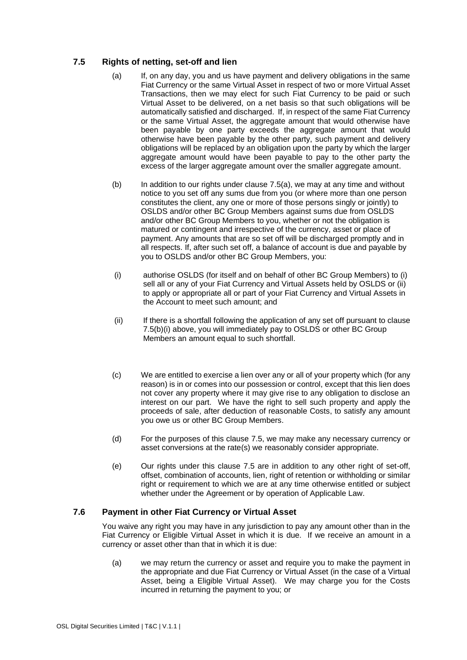### <span id="page-25-2"></span><span id="page-25-0"></span>**7.5 Rights of netting, set-off and lien**

- (a) If, on any day, you and us have payment and delivery obligations in the same Fiat Currency or the same Virtual Asset in respect of two or more Virtual Asset Transactions, then we may elect for such Fiat Currency to be paid or such Virtual Asset to be delivered, on a net basis so that such obligations will be automatically satisfied and discharged. If, in respect of the same Fiat Currency or the same Virtual Asset, the aggregate amount that would otherwise have been payable by one party exceeds the aggregate amount that would otherwise have been payable by the other party, such payment and delivery obligations will be replaced by an obligation upon the party by which the larger aggregate amount would have been payable to pay to the other party the excess of the larger aggregate amount over the smaller aggregate amount.
- (b) In addition to our rights under clause [7.5\(a\),](#page-25-0) we may at any time and without notice to you set off any sums due from you (or where more than one person constitutes the client, any one or more of those persons singly or jointly) to OSLDS and/or other BC Group Members against sums due from OSLDS and/or other BC Group Members to you, whether or not the obligation is matured or contingent and irrespective of the currency, asset or place of payment. Any amounts that are so set off will be discharged promptly and in all respects. If, after such set off, a balance of account is due and payable by you to OSLDS and/or other BC Group Members, you:
- <span id="page-25-1"></span>(i) authorise OSLDS (for itself and on behalf of other BC Group Members) to (i) sell all or any of your Fiat Currency and Virtual Assets held by OSLDS or (ii) to apply or appropriate all or part of your Fiat Currency and Virtual Assets in the Account to meet such amount; and
- (ii) If there is a shortfall following the application of any set off pursuant to clause [7.5\(b\)\(i\)](#page-25-1) above, you will immediately pay to OSLDS or other BC Group Members an amount equal to such shortfall.
- (c) We are entitled to exercise a lien over any or all of your property which (for any reason) is in or comes into our possession or control, except that this lien does not cover any property where it may give rise to any obligation to disclose an interest on our part. We have the right to sell such property and apply the proceeds of sale, after deduction of reasonable Costs, to satisfy any amount you owe us or other BC Group Members.
- (d) For the purposes of this clause [7.5,](#page-25-2) we may make any necessary currency or asset conversions at the rate(s) we reasonably consider appropriate.
- (e) Our rights under this clause [7.5](#page-25-2) are in addition to any other right of set-off, offset, combination of accounts, lien, right of retention or withholding or similar right or requirement to which we are at any time otherwise entitled or subject whether under the Agreement or by operation of Applicable Law.

### **7.6 Payment in other Fiat Currency or Virtual Asset**

You waive any right you may have in any jurisdiction to pay any amount other than in the Fiat Currency or Eligible Virtual Asset in which it is due. If we receive an amount in a currency or asset other than that in which it is due:

(a) we may return the currency or asset and require you to make the payment in the appropriate and due Fiat Currency or Virtual Asset (in the case of a Virtual Asset, being a Eligible Virtual Asset). We may charge you for the Costs incurred in returning the payment to you; or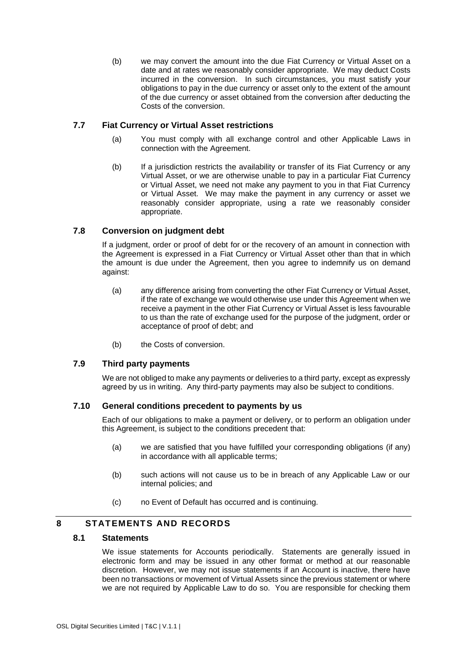(b) we may convert the amount into the due Fiat Currency or Virtual Asset on a date and at rates we reasonably consider appropriate. We may deduct Costs incurred in the conversion. In such circumstances, you must satisfy your obligations to pay in the due currency or asset only to the extent of the amount of the due currency or asset obtained from the conversion after deducting the Costs of the conversion.

### **7.7 Fiat Currency or Virtual Asset restrictions**

- (a) You must comply with all exchange control and other Applicable Laws in connection with the Agreement.
- (b) If a jurisdiction restricts the availability or transfer of its Fiat Currency or any Virtual Asset, or we are otherwise unable to pay in a particular Fiat Currency or Virtual Asset, we need not make any payment to you in that Fiat Currency or Virtual Asset. We may make the payment in any currency or asset we reasonably consider appropriate, using a rate we reasonably consider appropriate.

### **7.8 Conversion on judgment debt**

If a judgment, order or proof of debt for or the recovery of an amount in connection with the Agreement is expressed in a Fiat Currency or Virtual Asset other than that in which the amount is due under the Agreement, then you agree to indemnify us on demand against:

- (a) any difference arising from converting the other Fiat Currency or Virtual Asset, if the rate of exchange we would otherwise use under this Agreement when we receive a payment in the other Fiat Currency or Virtual Asset is less favourable to us than the rate of exchange used for the purpose of the judgment, order or acceptance of proof of debt; and
- (b) the Costs of conversion.

#### **7.9 Third party payments**

We are not obliged to make any payments or deliveries to a third party, except as expressly agreed by us in writing. Any third-party payments may also be subject to conditions.

#### **7.10 General conditions precedent to payments by us**

Each of our obligations to make a payment or delivery, or to perform an obligation under this Agreement, is subject to the conditions precedent that:

- (a) we are satisfied that you have fulfilled your corresponding obligations (if any) in accordance with all applicable terms;
- (b) such actions will not cause us to be in breach of any Applicable Law or our internal policies; and
- (c) no Event of Default has occurred and is continuing.

### **8 STATEMENTS AND RECORDS**

### **8.1 Statements**

We issue statements for Accounts periodically. Statements are generally issued in electronic form and may be issued in any other format or method at our reasonable discretion. However, we may not issue statements if an Account is inactive, there have been no transactions or movement of Virtual Assets since the previous statement or where we are not required by Applicable Law to do so. You are responsible for checking them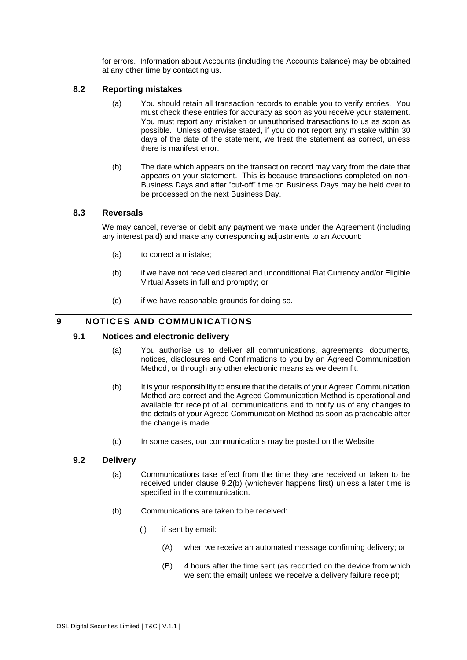for errors. Information about Accounts (including the Accounts balance) may be obtained at any other time by contacting us.

#### **8.2 Reporting mistakes**

- (a) You should retain all transaction records to enable you to verify entries. You must check these entries for accuracy as soon as you receive your statement. You must report any mistaken or unauthorised transactions to us as soon as possible. Unless otherwise stated, if you do not report any mistake within 30 days of the date of the statement, we treat the statement as correct, unless there is manifest error.
- (b) The date which appears on the transaction record may vary from the date that appears on your statement. This is because transactions completed on non‐ Business Days and after "cut‐off" time on Business Days may be held over to be processed on the next Business Day.

#### **8.3 Reversals**

We may cancel, reverse or debit any payment we make under the Agreement (including any interest paid) and make any corresponding adjustments to an Account:

- (a) to correct a mistake;
- (b) if we have not received cleared and unconditional Fiat Currency and/or Eligible Virtual Assets in full and promptly; or
- (c) if we have reasonable grounds for doing so.

### **9 NOTICES AND COMMUNICATIONS**

#### **9.1 Notices and electronic delivery**

- (a) You authorise us to deliver all communications, agreements, documents, notices, disclosures and Confirmations to you by an Agreed Communication Method, or through any other electronic means as we deem fit.
- (b) It is your responsibility to ensure that the details of your Agreed Communication Method are correct and the Agreed Communication Method is operational and available for receipt of all communications and to notify us of any changes to the details of your Agreed Communication Method as soon as practicable after the change is made.
- (c) In some cases, our communications may be posted on the Website.

#### <span id="page-27-0"></span>**9.2 Delivery**

- (a) Communications take effect from the time they are received or taken to be received under clause [9.2\(b\)](#page-27-0) (whichever happens first) unless a later time is specified in the communication.
- (b) Communications are taken to be received:
	- (i) if sent by email:
		- (A) when we receive an automated message confirming delivery; or
		- (B) 4 hours after the time sent (as recorded on the device from which we sent the email) unless we receive a delivery failure receipt;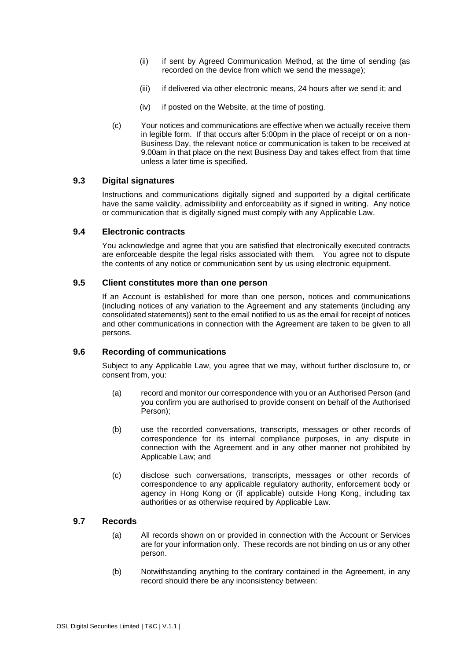- (ii) if sent by Agreed Communication Method, at the time of sending (as recorded on the device from which we send the message);
- (iii) if delivered via other electronic means, 24 hours after we send it; and
- (iv) if posted on the Website, at the time of posting.
- (c) Your notices and communications are effective when we actually receive them in legible form. If that occurs after 5:00pm in the place of receipt or on a non-Business Day, the relevant notice or communication is taken to be received at 9.00am in that place on the next Business Day and takes effect from that time unless a later time is specified.

#### **9.3 Digital signatures**

Instructions and communications digitally signed and supported by a digital certificate have the same validity, admissibility and enforceability as if signed in writing. Any notice or communication that is digitally signed must comply with any Applicable Law.

#### **9.4 Electronic contracts**

You acknowledge and agree that you are satisfied that electronically executed contracts are enforceable despite the legal risks associated with them. You agree not to dispute the contents of any notice or communication sent by us using electronic equipment.

#### **9.5 Client constitutes more than one person**

If an Account is established for more than one person, notices and communications (including notices of any variation to the Agreement and any statements (including any consolidated statements)) sent to the email notified to us as the email for receipt of notices and other communications in connection with the Agreement are taken to be given to all persons.

#### **9.6 Recording of communications**

Subject to any Applicable Law, you agree that we may, without further disclosure to, or consent from, you:

- (a) record and monitor our correspondence with you or an Authorised Person (and you confirm you are authorised to provide consent on behalf of the Authorised Person);
- (b) use the recorded conversations, transcripts, messages or other records of correspondence for its internal compliance purposes, in any dispute in connection with the Agreement and in any other manner not prohibited by Applicable Law; and
- (c) disclose such conversations, transcripts, messages or other records of correspondence to any applicable regulatory authority, enforcement body or agency in Hong Kong or (if applicable) outside Hong Kong, including tax authorities or as otherwise required by Applicable Law.

#### <span id="page-28-0"></span>**9.7 Records**

- (a) All records shown on or provided in connection with the Account or Services are for your information only. These records are not binding on us or any other person.
- (b) Notwithstanding anything to the contrary contained in the Agreement, in any record should there be any inconsistency between: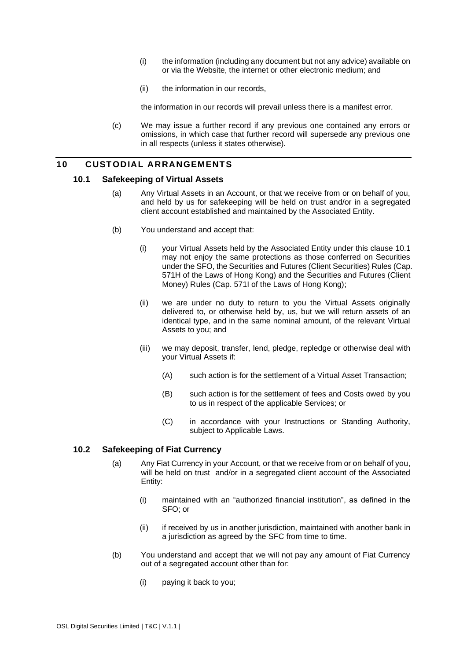- (i) the information (including any document but not any advice) available on or via the Website, the internet or other electronic medium; and
- (ii) the information in our records,

the information in our records will prevail unless there is a manifest error.

(c) We may issue a further record if any previous one contained any errors or omissions, in which case that further record will supersede any previous one in all respects (unless it states otherwise).

### <span id="page-29-2"></span><span id="page-29-1"></span>**10 CUSTODIAL ARRANGEMENTS**

#### **10.1 Safekeeping of Virtual Assets**

- (a) Any Virtual Assets in an Account, or that we receive from or on behalf of you, and held by us for safekeeping will be held on trust and/or in a segregated client account established and maintained by the Associated Entity.
- (b) You understand and accept that:
	- (i) your Virtual Assets held by the Associated Entity under this clause [10.1](#page-29-2) may not enjoy the same protections as those conferred on Securities under the SFO, the Securities and Futures (Client Securities) Rules (Cap. 571H of the Laws of Hong Kong) and the Securities and Futures (Client Money) Rules (Cap. 571I of the Laws of Hong Kong);
	- (ii) we are under no duty to return to you the Virtual Assets originally delivered to, or otherwise held by, us, but we will return assets of an identical type, and in the same nominal amount, of the relevant Virtual Assets to you; and
	- (iii) we may deposit, transfer, lend, pledge, repledge or otherwise deal with your Virtual Assets if:
		- (A) such action is for the settlement of a Virtual Asset Transaction;
		- (B) such action is for the settlement of fees and Costs owed by you to us in respect of the applicable Services; or
		- (C) in accordance with your Instructions or Standing Authority, subject to Applicable Laws.

### <span id="page-29-0"></span>**10.2 Safekeeping of Fiat Currency**

- (a) Any Fiat Currency in your Account, or that we receive from or on behalf of you, will be held on trust and/or in a segregated client account of the Associated Entity:
	- (i) maintained with an "authorized financial institution", as defined in the SFO; or
	- (ii) if received by us in another jurisdiction, maintained with another bank in a jurisdiction as agreed by the SFC from time to time.
- (b) You understand and accept that we will not pay any amount of Fiat Currency out of a segregated account other than for:
	- (i) paying it back to you;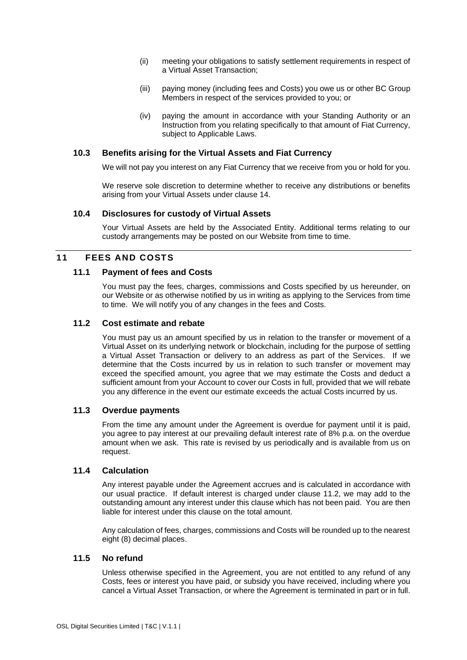- (ii) meeting your obligations to satisfy settlement requirements in respect of a Virtual Asset Transaction;
- (iii) paying money (including fees and Costs) you owe us or other BC Group Members in respect of the services provided to you; or
- (iv) paying the amount in accordance with your Standing Authority or an Instruction from you relating specifically to that amount of Fiat Currency, subject to Applicable Laws.

#### **10.3 Benefits arising for the Virtual Assets and Fiat Currency**

We will not pay you interest on any Fiat Currency that we receive from you or hold for you.

We reserve sole discretion to determine whether to receive any distributions or benefits arising from your Virtual Assets under clause 14.

#### **10.4 Disclosures for custody of Virtual Assets**

Your Virtual Assets are held by the Associated Entity. Additional terms relating to our custody arrangements may be posted on our Website from time to time.

#### **11 FEES AND COSTS**

#### **11.1 Payment of fees and Costs**

You must pay the fees, charges, commissions and Costs specified by us hereunder, on our Website or as otherwise notified by us in writing as applying to the Services from time to time. We will notify you of any changes in the fees and Costs.

### <span id="page-30-0"></span>**11.2 Cost estimate and rebate**

You must pay us an amount specified by us in relation to the transfer or movement of a Virtual Asset on its underlying network or blockchain, including for the purpose of settling a Virtual Asset Transaction or delivery to an address as part of the Services. If we determine that the Costs incurred by us in relation to such transfer or movement may exceed the specified amount, you agree that we may estimate the Costs and deduct a sufficient amount from your Account to cover our Costs in full, provided that we will rebate you any difference in the event our estimate exceeds the actual Costs incurred by us.

### **11.3 Overdue payments**

From the time any amount under the Agreement is overdue for payment until it is paid, you agree to pay interest at our prevailing default interest rate of 8% p.a. on the overdue amount when we ask. This rate is revised by us periodically and is available from us on request.

#### **11.4 Calculation**

Any interest payable under the Agreement accrues and is calculated in accordance with our usual practice. If default interest is charged under clause [11.2,](#page-30-0) we may add to the outstanding amount any interest under this clause which has not been paid. You are then liable for interest under this clause on the total amount.

Any calculation of fees, charges, commissions and Costs will be rounded up to the nearest eight (8) decimal places.

#### **11.5 No refund**

Unless otherwise specified in the Agreement, you are not entitled to any refund of any Costs, fees or interest you have paid, or subsidy you have received, including where you cancel a Virtual Asset Transaction, or where the Agreement is terminated in part or in full.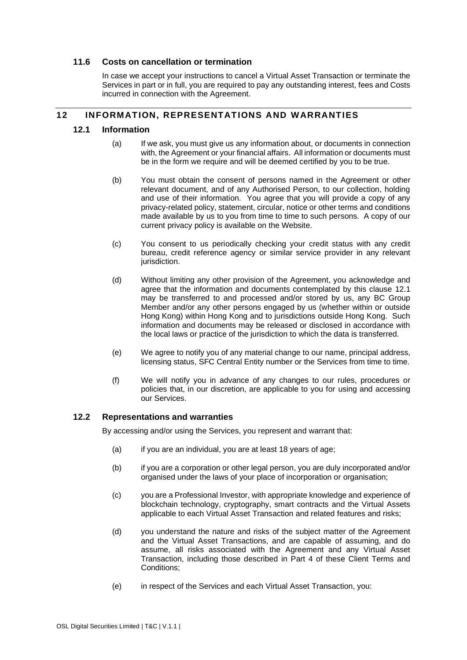#### **11.6 Costs on cancellation or termination**

In case we accept your instructions to cancel a Virtual Asset Transaction or terminate the Services in part or in full, you are required to pay any outstanding interest, fees and Costs incurred in connection with the Agreement.

#### <span id="page-31-0"></span>**12 INFORMATION, REPRESENTATIONS AND WARRANTIES**

#### **12.1 Information**

- (a) If we ask, you must give us any information about, or documents in connection with, the Agreement or your financial affairs. All information or documents must be in the form we require and will be deemed certified by you to be true.
- (b) You must obtain the consent of persons named in the Agreement or other relevant document, and of any Authorised Person, to our collection, holding and use of their information. You agree that you will provide a copy of any privacy-related policy, statement, circular, notice or other terms and conditions made available by us to you from time to time to such persons. A copy of our current privacy policy is available on the Website.
- (c) You consent to us periodically checking your credit status with any credit bureau, credit reference agency or similar service provider in any relevant jurisdiction.
- (d) Without limiting any other provision of the Agreement, you acknowledge and agree that the information and documents contemplated by this clause [12.1](#page-31-0) may be transferred to and processed and/or stored by us, any BC Group Member and/or any other persons engaged by us (whether within or outside Hong Kong) within Hong Kong and to jurisdictions outside Hong Kong. Such information and documents may be released or disclosed in accordance with the local laws or practice of the jurisdiction to which the data is transferred.
- (e) We agree to notify you of any material change to our name, principal address, licensing status, SFC Central Entity number or the Services from time to time.
- (f) We will notify you in advance of any changes to our rules, procedures or policies that, in our discretion, are applicable to you for using and accessing our Services.

### <span id="page-31-1"></span>**12.2 Representations and warranties**

By accessing and/or using the Services, you represent and warrant that:

- (a) if you are an individual, you are at least 18 years of age;
- (b) if you are a corporation or other legal person, you are duly incorporated and/or organised under the laws of your place of incorporation or organisation;
- (c) you are a Professional Investor, with appropriate knowledge and experience of blockchain technology, cryptography, smart contracts and the Virtual Assets applicable to each Virtual Asset Transaction and related features and risks;
- (d) you understand the nature and risks of the subject matter of the Agreement and the Virtual Asset Transactions, and are capable of assuming, and do assume, all risks associated with the Agreement and any Virtual Asset Transaction, including those described in [Part 4](#page-52-0) of these Client Terms and Conditions;
- (e) in respect of the Services and each Virtual Asset Transaction, you: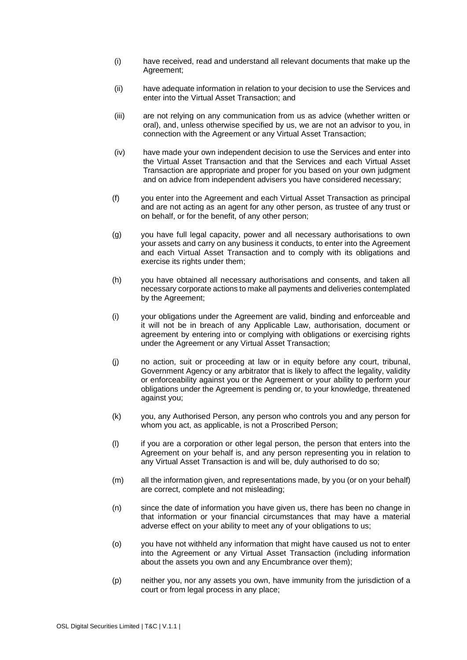- (i) have received, read and understand all relevant documents that make up the Agreement;
- (ii) have adequate information in relation to your decision to use the Services and enter into the Virtual Asset Transaction; and
- (iii) are not relying on any communication from us as advice (whether written or oral), and, unless otherwise specified by us, we are not an advisor to you, in connection with the Agreement or any Virtual Asset Transaction;
- (iv) have made your own independent decision to use the Services and enter into the Virtual Asset Transaction and that the Services and each Virtual Asset Transaction are appropriate and proper for you based on your own judgment and on advice from independent advisers you have considered necessary;
- (f) you enter into the Agreement and each Virtual Asset Transaction as principal and are not acting as an agent for any other person, as trustee of any trust or on behalf, or for the benefit, of any other person;
- (g) you have full legal capacity, power and all necessary authorisations to own your assets and carry on any business it conducts, to enter into the Agreement and each Virtual Asset Transaction and to comply with its obligations and exercise its rights under them;
- (h) you have obtained all necessary authorisations and consents, and taken all necessary corporate actions to make all payments and deliveries contemplated by the Agreement;
- (i) your obligations under the Agreement are valid, binding and enforceable and it will not be in breach of any Applicable Law, authorisation, document or agreement by entering into or complying with obligations or exercising rights under the Agreement or any Virtual Asset Transaction;
- (j) no action, suit or proceeding at law or in equity before any court, tribunal, Government Agency or any arbitrator that is likely to affect the legality, validity or enforceability against you or the Agreement or your ability to perform your obligations under the Agreement is pending or, to your knowledge, threatened against you;
- (k) you, any Authorised Person, any person who controls you and any person for whom you act, as applicable, is not a Proscribed Person;
- (l) if you are a corporation or other legal person, the person that enters into the Agreement on your behalf is, and any person representing you in relation to any Virtual Asset Transaction is and will be, duly authorised to do so;
- (m) all the information given, and representations made, by you (or on your behalf) are correct, complete and not misleading;
- (n) since the date of information you have given us, there has been no change in that information or your financial circumstances that may have a material adverse effect on your ability to meet any of your obligations to us;
- (o) you have not withheld any information that might have caused us not to enter into the Agreement or any Virtual Asset Transaction (including information about the assets you own and any Encumbrance over them);
- (p) neither you, nor any assets you own, have immunity from the jurisdiction of a court or from legal process in any place;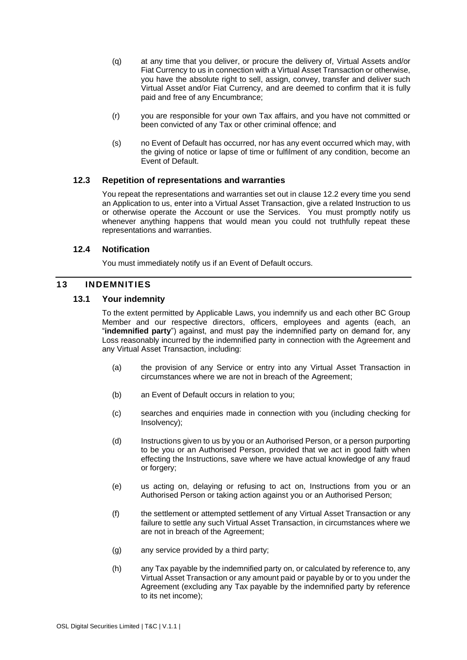- (q) at any time that you deliver, or procure the delivery of, Virtual Assets and/or Fiat Currency to us in connection with a Virtual Asset Transaction or otherwise, you have the absolute right to sell, assign, convey, transfer and deliver such Virtual Asset and/or Fiat Currency, and are deemed to confirm that it is fully paid and free of any Encumbrance;
- (r) you are responsible for your own Tax affairs, and you have not committed or been convicted of any Tax or other criminal offence; and
- (s) no Event of Default has occurred, nor has any event occurred which may, with the giving of notice or lapse of time or fulfilment of any condition, become an Event of Default.

#### **12.3 Repetition of representations and warranties**

You repeat the representations and warranties set out in clause [12.2](#page-31-1) every time you send an Application to us, enter into a Virtual Asset Transaction, give a related Instruction to us or otherwise operate the Account or use the Services. You must promptly notify us whenever anything happens that would mean you could not truthfully repeat these representations and warranties.

#### **12.4 Notification**

You must immediately notify us if an Event of Default occurs.

#### <span id="page-33-1"></span>**13 INDEMNITIES**

#### <span id="page-33-0"></span>**13.1 Your indemnity**

To the extent permitted by Applicable Laws, you indemnify us and each other BC Group Member and our respective directors, officers, employees and agents (each, an "**indemnified party**") against, and must pay the indemnified party on demand for, any Loss reasonably incurred by the indemnified party in connection with the Agreement and any Virtual Asset Transaction, including:

- (a) the provision of any Service or entry into any Virtual Asset Transaction in circumstances where we are not in breach of the Agreement;
- (b) an Event of Default occurs in relation to you;
- (c) searches and enquiries made in connection with you (including checking for Insolvency);
- (d) Instructions given to us by you or an Authorised Person, or a person purporting to be you or an Authorised Person, provided that we act in good faith when effecting the Instructions, save where we have actual knowledge of any fraud or forgery;
- (e) us acting on, delaying or refusing to act on, Instructions from you or an Authorised Person or taking action against you or an Authorised Person;
- (f) the settlement or attempted settlement of any Virtual Asset Transaction or any failure to settle any such Virtual Asset Transaction, in circumstances where we are not in breach of the Agreement;
- (g) any service provided by a third party;
- (h) any Tax payable by the indemnified party on, or calculated by reference to, any Virtual Asset Transaction or any amount paid or payable by or to you under the Agreement (excluding any Tax payable by the indemnified party by reference to its net income);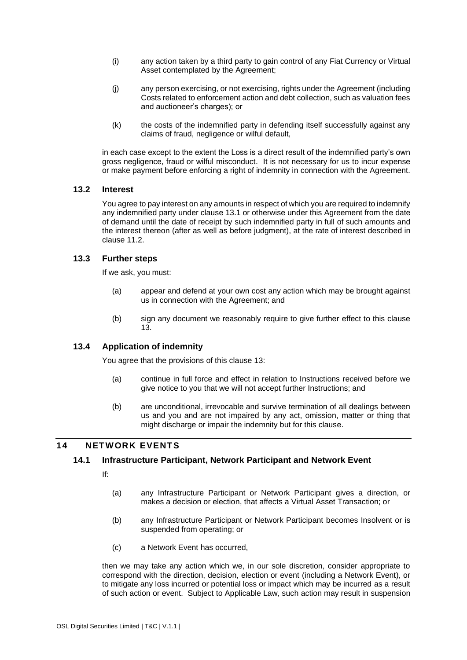- (i) any action taken by a third party to gain control of any Fiat Currency or Virtual Asset contemplated by the Agreement;
- (j) any person exercising, or not exercising, rights under the Agreement (including Costs related to enforcement action and debt collection, such as valuation fees and auctioneer's charges); or
- (k) the costs of the indemnified party in defending itself successfully against any claims of fraud, negligence or wilful default,

in each case except to the extent the Loss is a direct result of the indemnified party's own gross negligence, fraud or wilful misconduct. It is not necessary for us to incur expense or make payment before enforcing a right of indemnity in connection with the Agreement.

#### **13.2 Interest**

You agree to pay interest on any amounts in respect of which you are required to indemnify any indemnified party under clause [13.1](#page-33-0) or otherwise under this Agreement from the date of demand until the date of receipt by such indemnified party in full of such amounts and the interest thereon (after as well as before judgment), at the rate of interest described in clause [11.2.](#page-30-0)

#### **13.3 Further steps**

If we ask, you must:

- (a) appear and defend at your own cost any action which may be brought against us in connection with the Agreement; and
- (b) sign any document we reasonably require to give further effect to this clause [13.](#page-33-1)

#### **13.4 Application of indemnity**

You agree that the provisions of this clause [13:](#page-33-1)

- (a) continue in full force and effect in relation to Instructions received before we give notice to you that we will not accept further Instructions; and
- (b) are unconditional, irrevocable and survive termination of all dealings between us and you and are not impaired by any act, omission, matter or thing that might discharge or impair the indemnity but for this clause.

### **14 NETWORK EVENTS**

#### **14.1 Infrastructure Participant, Network Participant and Network Event**

If:

- (a) any Infrastructure Participant or Network Participant gives a direction, or makes a decision or election, that affects a Virtual Asset Transaction; or
- (b) any Infrastructure Participant or Network Participant becomes Insolvent or is suspended from operating; or
- (c) a Network Event has occurred,

then we may take any action which we, in our sole discretion, consider appropriate to correspond with the direction, decision, election or event (including a Network Event), or to mitigate any loss incurred or potential loss or impact which may be incurred as a result of such action or event. Subject to Applicable Law, such action may result in suspension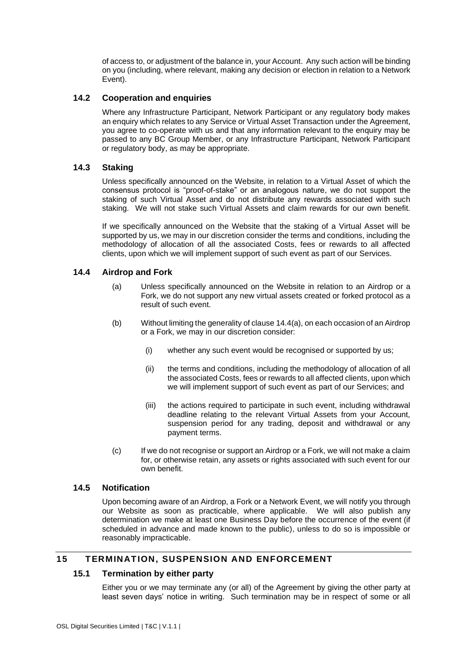of access to, or adjustment of the balance in, your Account. Any such action will be binding on you (including, where relevant, making any decision or election in relation to a Network Event).

### **14.2 Cooperation and enquiries**

Where any Infrastructure Participant, Network Participant or any regulatory body makes an enquiry which relates to any Service or Virtual Asset Transaction under the Agreement, you agree to co-operate with us and that any information relevant to the enquiry may be passed to any BC Group Member, or any Infrastructure Participant, Network Participant or regulatory body, as may be appropriate.

#### **14.3 Staking**

Unless specifically announced on the Website, in relation to a Virtual Asset of which the consensus protocol is "proof-of-stake" or an analogous nature, we do not support the staking of such Virtual Asset and do not distribute any rewards associated with such staking. We will not stake such Virtual Assets and claim rewards for our own benefit.

If we specifically announced on the Website that the staking of a Virtual Asset will be supported by us, we may in our discretion consider the terms and conditions, including the methodology of allocation of all the associated Costs, fees or rewards to all affected clients, upon which we will implement support of such event as part of our Services.

### <span id="page-35-0"></span>**14.4 Airdrop and Fork**

- (a) Unless specifically announced on the Website in relation to an Airdrop or a Fork, we do not support any new virtual assets created or forked protocol as a result of such event.
- (b) Without limiting the generality of clause [14.4\(a\),](#page-35-0) on each occasion of an Airdrop or a Fork, we may in our discretion consider:
	- (i) whether any such event would be recognised or supported by us;
	- (ii) the terms and conditions, including the methodology of allocation of all the associated Costs, fees or rewards to all affected clients, upon which we will implement support of such event as part of our Services; and
	- (iii) the actions required to participate in such event, including withdrawal deadline relating to the relevant Virtual Assets from your Account, suspension period for any trading, deposit and withdrawal or any payment terms.
- (c) If we do not recognise or support an Airdrop or a Fork, we will not make a claim for, or otherwise retain, any assets or rights associated with such event for our own benefit.

### **14.5 Notification**

Upon becoming aware of an Airdrop, a Fork or a Network Event, we will notify you through our Website as soon as practicable, where applicable. We will also publish any determination we make at least one Business Day before the occurrence of the event (if scheduled in advance and made known to the public), unless to do so is impossible or reasonably impracticable.

### <span id="page-35-1"></span>**15 TERMINATION, SUSPENSION AND ENFORCEMENT**

#### **15.1 Termination by either party**

Either you or we may terminate any (or all) of the Agreement by giving the other party at least seven days' notice in writing. Such termination may be in respect of some or all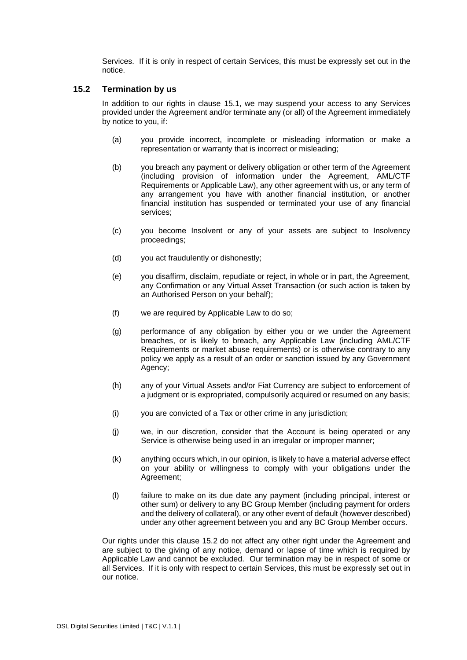Services. If it is only in respect of certain Services, this must be expressly set out in the notice.

#### <span id="page-36-0"></span>**15.2 Termination by us**

In addition to our rights in clause [15.1,](#page-35-1) we may suspend your access to any Services provided under the Agreement and/or terminate any (or all) of the Agreement immediately by notice to you, if:

- (a) you provide incorrect, incomplete or misleading information or make a representation or warranty that is incorrect or misleading;
- (b) you breach any payment or delivery obligation or other term of the Agreement (including provision of information under the Agreement, AML/CTF Requirements or Applicable Law), any other agreement with us, or any term of any arrangement you have with another financial institution, or another financial institution has suspended or terminated your use of any financial services;
- (c) you become Insolvent or any of your assets are subject to Insolvency proceedings;
- (d) you act fraudulently or dishonestly;
- (e) you disaffirm, disclaim, repudiate or reject, in whole or in part, the Agreement, any Confirmation or any Virtual Asset Transaction (or such action is taken by an Authorised Person on your behalf);
- (f) we are required by Applicable Law to do so;
- (g) performance of any obligation by either you or we under the Agreement breaches, or is likely to breach, any Applicable Law (including AML/CTF Requirements or market abuse requirements) or is otherwise contrary to any policy we apply as a result of an order or sanction issued by any Government Agency;
- (h) any of your Virtual Assets and/or Fiat Currency are subject to enforcement of a judgment or is expropriated, compulsorily acquired or resumed on any basis;
- (i) you are convicted of a Tax or other crime in any jurisdiction;
- (j) we, in our discretion, consider that the Account is being operated or any Service is otherwise being used in an irregular or improper manner;
- (k) anything occurs which, in our opinion, is likely to have a material adverse effect on your ability or willingness to comply with your obligations under the Agreement:
- (l) failure to make on its due date any payment (including principal, interest or other sum) or delivery to any BC Group Member (including payment for orders and the delivery of collateral), or any other event of default (however described) under any other agreement between you and any BC Group Member occurs.

Our rights under this clause [15.2](#page-36-0) do not affect any other right under the Agreement and are subject to the giving of any notice, demand or lapse of time which is required by Applicable Law and cannot be excluded. Our termination may be in respect of some or all Services. If it is only with respect to certain Services, this must be expressly set out in our notice.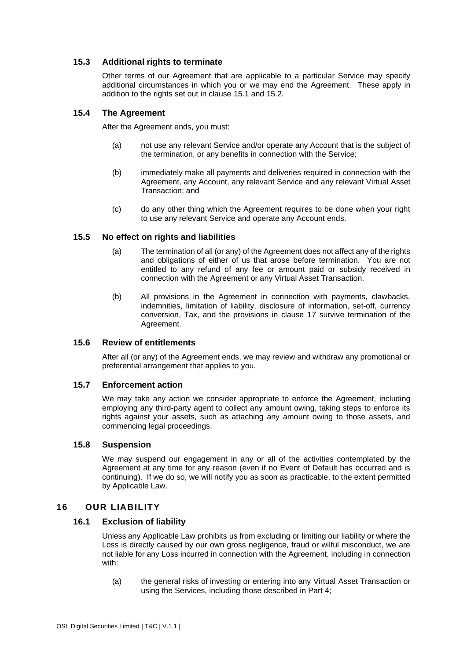### **15.3 Additional rights to terminate**

Other terms of our Agreement that are applicable to a particular Service may specify additional circumstances in which you or we may end the Agreement. These apply in addition to the rights set out in clause [15.1](#page-35-1) and [15.2.](#page-36-0)

### **15.4 The Agreement**

After the Agreement ends, you must:

- (a) not use any relevant Service and/or operate any Account that is the subject of the termination, or any benefits in connection with the Service;
- (b) immediately make all payments and deliveries required in connection with the Agreement, any Account, any relevant Service and any relevant Virtual Asset Transaction; and
- (c) do any other thing which the Agreement requires to be done when your right to use any relevant Service and operate any Account ends.

### **15.5 No effect on rights and liabilities**

- (a) The termination of all (or any) of the Agreement does not affect any of the rights and obligations of either of us that arose before termination. You are not entitled to any refund of any fee or amount paid or subsidy received in connection with the Agreement or any Virtual Asset Transaction.
- (b) All provisions in the Agreement in connection with payments, clawbacks, indemnities, limitation of liability, disclosure of information, set-off, currency conversion, Tax, and the provisions in clause [17](#page-39-0) survive termination of the Agreement.

### **15.6 Review of entitlements**

After all (or any) of the Agreement ends, we may review and withdraw any promotional or preferential arrangement that applies to you.

#### **15.7 Enforcement action**

We may take any action we consider appropriate to enforce the Agreement, including employing any third-party agent to collect any amount owing, taking steps to enforce its rights against your assets, such as attaching any amount owing to those assets, and commencing legal proceedings.

#### **15.8 Suspension**

We may suspend our engagement in any or all of the activities contemplated by the Agreement at any time for any reason (even if no Event of Default has occurred and is continuing). If we do so, we will notify you as soon as practicable, to the extent permitted by Applicable Law.

### **16 OUR LIABILITY**

#### **16.1 Exclusion of liability**

Unless any Applicable Law prohibits us from excluding or limiting our liability or where the Loss is directly caused by our own gross negligence, fraud or wilful misconduct, we are not liable for any Loss incurred in connection with the Agreement, including in connection with:

(a) the general risks of investing or entering into any Virtual Asset Transaction or using the Services, including those described in [Part 4;](#page-52-0)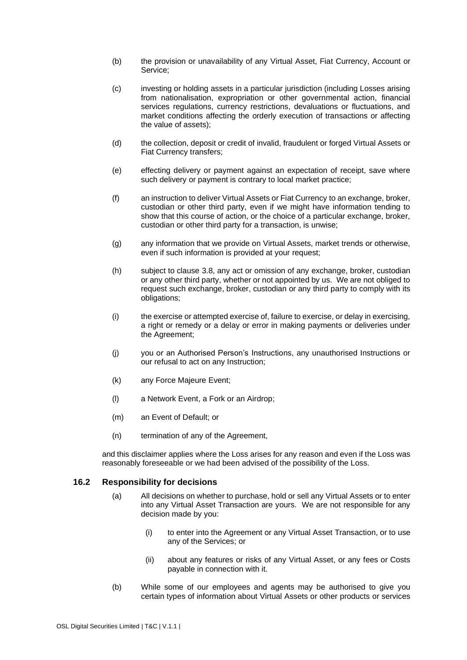- (b) the provision or unavailability of any Virtual Asset, Fiat Currency, Account or Service;
- (c) investing or holding assets in a particular jurisdiction (including Losses arising from nationalisation, expropriation or other governmental action, financial services regulations, currency restrictions, devaluations or fluctuations, and market conditions affecting the orderly execution of transactions or affecting the value of assets);
- (d) the collection, deposit or credit of invalid, fraudulent or forged Virtual Assets or Fiat Currency transfers;
- (e) effecting delivery or payment against an expectation of receipt, save where such delivery or payment is contrary to local market practice;
- (f) an instruction to deliver Virtual Assets or Fiat Currency to an exchange, broker, custodian or other third party, even if we might have information tending to show that this course of action, or the choice of a particular exchange, broker, custodian or other third party for a transaction, is unwise;
- (g) any information that we provide on Virtual Assets, market trends or otherwise, even if such information is provided at your request;
- (h) subject to clause [3.8,](#page-16-1) any act or omission of any exchange, broker, custodian or any other third party, whether or not appointed by us. We are not obliged to request such exchange, broker, custodian or any third party to comply with its obligations;
- (i) the exercise or attempted exercise of, failure to exercise, or delay in exercising, a right or remedy or a delay or error in making payments or deliveries under the Agreement;
- (j) you or an Authorised Person's Instructions, any unauthorised Instructions or our refusal to act on any Instruction;
- (k) any Force Majeure Event;
- (l) a Network Event, a Fork or an Airdrop;
- (m) an Event of Default; or
- (n) termination of any of the Agreement,

and this disclaimer applies where the Loss arises for any reason and even if the Loss was reasonably foreseeable or we had been advised of the possibility of the Loss.

#### **16.2 Responsibility for decisions**

- (a) All decisions on whether to purchase, hold or sell any Virtual Assets or to enter into any Virtual Asset Transaction are yours. We are not responsible for any decision made by you:
	- (i) to enter into the Agreement or any Virtual Asset Transaction, or to use any of the Services; or
	- (ii) about any features or risks of any Virtual Asset, or any fees or Costs payable in connection with it.
- (b) While some of our employees and agents may be authorised to give you certain types of information about Virtual Assets or other products or services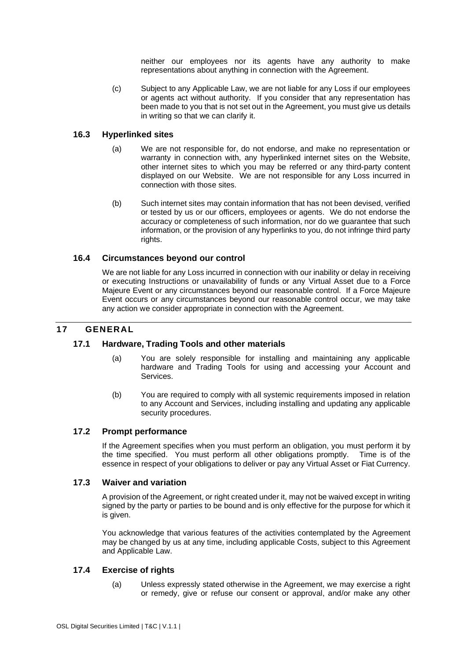neither our employees nor its agents have any authority to make representations about anything in connection with the Agreement.

(c) Subject to any Applicable Law, we are not liable for any Loss if our employees or agents act without authority. If you consider that any representation has been made to you that is not set out in the Agreement, you must give us details in writing so that we can clarify it.

### **16.3 Hyperlinked sites**

- (a) We are not responsible for, do not endorse, and make no representation or warranty in connection with, any hyperlinked internet sites on the Website, other internet sites to which you may be referred or any third-party content displayed on our Website. We are not responsible for any Loss incurred in connection with those sites.
- (b) Such internet sites may contain information that has not been devised, verified or tested by us or our officers, employees or agents. We do not endorse the accuracy or completeness of such information, nor do we guarantee that such information, or the provision of any hyperlinks to you, do not infringe third party rights.

### **16.4 Circumstances beyond our control**

We are not liable for any Loss incurred in connection with our inability or delay in receiving or executing Instructions or unavailability of funds or any Virtual Asset due to a Force Majeure Event or any circumstances beyond our reasonable control. If a Force Majeure Event occurs or any circumstances beyond our reasonable control occur, we may take any action we consider appropriate in connection with the Agreement.

### <span id="page-39-0"></span>**17 GENERAL**

#### **17.1 Hardware, Trading Tools and other materials**

- (a) You are solely responsible for installing and maintaining any applicable hardware and Trading Tools for using and accessing your Account and Services.
- (b) You are required to comply with all systemic requirements imposed in relation to any Account and Services, including installing and updating any applicable security procedures.

#### **17.2 Prompt performance**

If the Agreement specifies when you must perform an obligation, you must perform it by the time specified. You must perform all other obligations promptly. Time is of the essence in respect of your obligations to deliver or pay any Virtual Asset or Fiat Currency.

#### <span id="page-39-1"></span>**17.3 Waiver and variation**

A provision of the Agreement, or right created under it, may not be waived except in writing signed by the party or parties to be bound and is only effective for the purpose for which it is given.

You acknowledge that various features of the activities contemplated by the Agreement may be changed by us at any time, including applicable Costs, subject to this Agreement and Applicable Law.

#### **17.4 Exercise of rights**

(a) Unless expressly stated otherwise in the Agreement, we may exercise a right or remedy, give or refuse our consent or approval, and/or make any other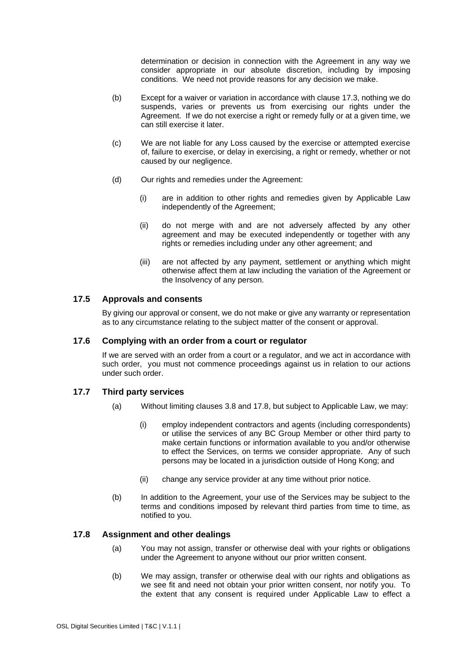determination or decision in connection with the Agreement in any way we consider appropriate in our absolute discretion, including by imposing conditions. We need not provide reasons for any decision we make.

- (b) Except for a waiver or variation in accordance with clause [17.3,](#page-39-1) nothing we do suspends, varies or prevents us from exercising our rights under the Agreement. If we do not exercise a right or remedy fully or at a given time, we can still exercise it later.
- (c) We are not liable for any Loss caused by the exercise or attempted exercise of, failure to exercise, or delay in exercising, a right or remedy, whether or not caused by our negligence.
- (d) Our rights and remedies under the Agreement:
	- (i) are in addition to other rights and remedies given by Applicable Law independently of the Agreement;
	- (ii) do not merge with and are not adversely affected by any other agreement and may be executed independently or together with any rights or remedies including under any other agreement; and
	- (iii) are not affected by any payment, settlement or anything which might otherwise affect them at law including the variation of the Agreement or the Insolvency of any person.

### **17.5 Approvals and consents**

By giving our approval or consent, we do not make or give any warranty or representation as to any circumstance relating to the subject matter of the consent or approval.

### **17.6 Complying with an order from a court or regulator**

If we are served with an order from a court or a regulator, and we act in accordance with such order, you must not commence proceedings against us in relation to our actions under such order.

#### **17.7 Third party services**

- (a) Without limiting clauses [3.8](#page-16-1) and [17.8,](#page-40-0) but subject to Applicable Law, we may:
	- (i) employ independent contractors and agents (including correspondents) or utilise the services of any BC Group Member or other third party to make certain functions or information available to you and/or otherwise to effect the Services, on terms we consider appropriate. Any of such persons may be located in a jurisdiction outside of Hong Kong; and
	- (ii) change any service provider at any time without prior notice.
- (b) In addition to the Agreement, your use of the Services may be subject to the terms and conditions imposed by relevant third parties from time to time, as notified to you.

#### <span id="page-40-1"></span><span id="page-40-0"></span>**17.8 Assignment and other dealings**

- (a) You may not assign, transfer or otherwise deal with your rights or obligations under the Agreement to anyone without our prior written consent.
- (b) We may assign, transfer or otherwise deal with our rights and obligations as we see fit and need not obtain your prior written consent, nor notify you. To the extent that any consent is required under Applicable Law to effect a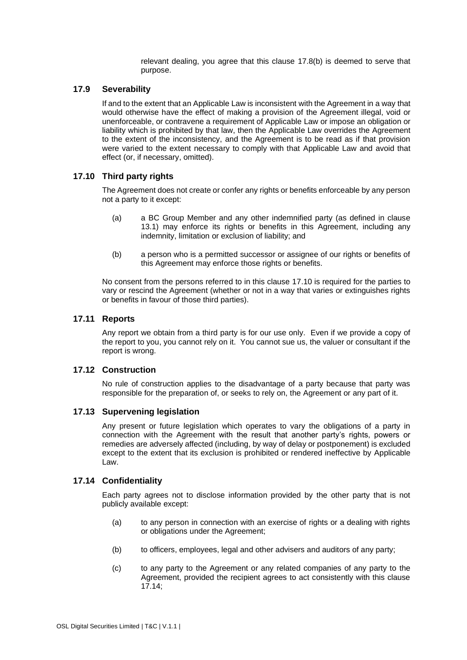relevant dealing, you agree that this clause [17.8\(b\)](#page-40-1) is deemed to serve that purpose.

#### **17.9 Severability**

If and to the extent that an Applicable Law is inconsistent with the Agreement in a way that would otherwise have the effect of making a provision of the Agreement illegal, void or unenforceable, or contravene a requirement of Applicable Law or impose an obligation or liability which is prohibited by that law, then the Applicable Law overrides the Agreement to the extent of the inconsistency, and the Agreement is to be read as if that provision were varied to the extent necessary to comply with that Applicable Law and avoid that effect (or, if necessary, omitted).

#### <span id="page-41-0"></span>**17.10 Third party rights**

The Agreement does not create or confer any rights or benefits enforceable by any person not a party to it except:

- (a) a BC Group Member and any other indemnified party (as defined in clause [13.1\)](#page-33-0) may enforce its rights or benefits in this Agreement, including any indemnity, limitation or exclusion of liability; and
- (b) a person who is a permitted successor or assignee of our rights or benefits of this Agreement may enforce those rights or benefits.

No consent from the persons referred to in this clause [17.10](#page-41-0) is required for the parties to vary or rescind the Agreement (whether or not in a way that varies or extinguishes rights or benefits in favour of those third parties).

#### **17.11 Reports**

Any report we obtain from a third party is for our use only. Even if we provide a copy of the report to you, you cannot rely on it. You cannot sue us, the valuer or consultant if the report is wrong.

#### **17.12 Construction**

No rule of construction applies to the disadvantage of a party because that party was responsible for the preparation of, or seeks to rely on, the Agreement or any part of it.

#### **17.13 Supervening legislation**

Any present or future legislation which operates to vary the obligations of a party in connection with the Agreement with the result that another party's rights, powers or remedies are adversely affected (including, by way of delay or postponement) is excluded except to the extent that its exclusion is prohibited or rendered ineffective by Applicable Law.

#### <span id="page-41-1"></span>**17.14 Confidentiality**

Each party agrees not to disclose information provided by the other party that is not publicly available except:

- (a) to any person in connection with an exercise of rights or a dealing with rights or obligations under the Agreement;
- (b) to officers, employees, legal and other advisers and auditors of any party;
- (c) to any party to the Agreement or any related companies of any party to the Agreement, provided the recipient agrees to act consistently with this clause [17.14;](#page-41-1)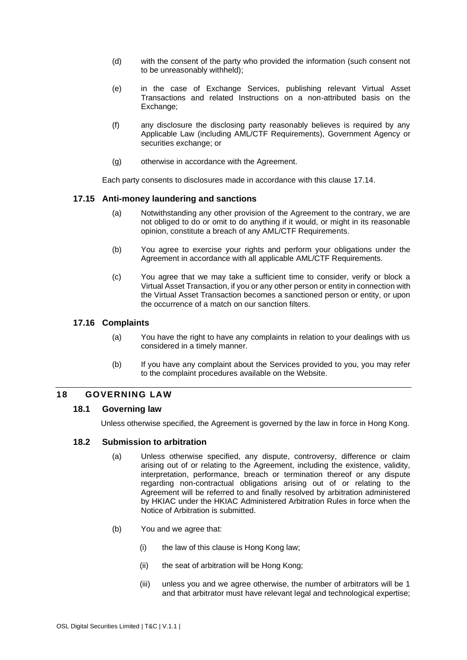- (d) with the consent of the party who provided the information (such consent not to be unreasonably withheld);
- (e) in the case of Exchange Services, publishing relevant Virtual Asset Transactions and related Instructions on a non-attributed basis on the Exchange;
- (f) any disclosure the disclosing party reasonably believes is required by any Applicable Law (including AML/CTF Requirements), Government Agency or securities exchange; or
- (g) otherwise in accordance with the Agreement.

Each party consents to disclosures made in accordance with this clause [17.14.](#page-41-1)

### **17.15 Anti-money laundering and sanctions**

- (a) Notwithstanding any other provision of the Agreement to the contrary, we are not obliged to do or omit to do anything if it would, or might in its reasonable opinion, constitute a breach of any AML/CTF Requirements.
- (b) You agree to exercise your rights and perform your obligations under the Agreement in accordance with all applicable AML/CTF Requirements.
- (c) You agree that we may take a sufficient time to consider, verify or block a Virtual Asset Transaction, if you or any other person or entity in connection with the Virtual Asset Transaction becomes a sanctioned person or entity, or upon the occurrence of a match on our sanction filters.

### **17.16 Complaints**

- (a) You have the right to have any complaints in relation to your dealings with us considered in a timely manner.
- (b) If you have any complaint about the Services provided to you, you may refer to the complaint procedures available on the Website.

#### **18 GOVERNING LAW**

### **18.1 Governing law**

Unless otherwise specified, the Agreement is governed by the law in force in Hong Kong.

### **18.2 Submission to arbitration**

- (a) Unless otherwise specified, any dispute, controversy, difference or claim arising out of or relating to the Agreement, including the existence, validity, interpretation, performance, breach or termination thereof or any dispute regarding non-contractual obligations arising out of or relating to the Agreement will be referred to and finally resolved by arbitration administered by HKIAC under the HKIAC Administered Arbitration Rules in force when the Notice of Arbitration is submitted.
- (b) You and we agree that:
	- (i) the law of this clause is Hong Kong law;
	- (ii) the seat of arbitration will be Hong Kong;
	- (iii) unless you and we agree otherwise, the number of arbitrators will be 1 and that arbitrator must have relevant legal and technological expertise;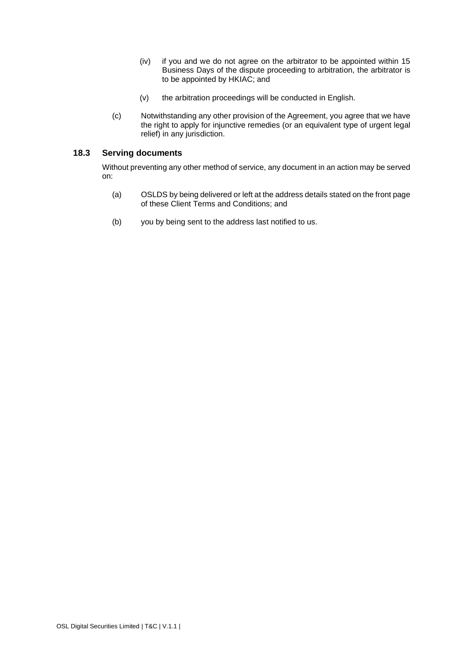- (iv) if you and we do not agree on the arbitrator to be appointed within 15 Business Days of the dispute proceeding to arbitration, the arbitrator is to be appointed by HKIAC; and
- (v) the arbitration proceedings will be conducted in English.
- (c) Notwithstanding any other provision of the Agreement, you agree that we have the right to apply for injunctive remedies (or an equivalent type of urgent legal relief) in any jurisdiction.

### **18.3 Serving documents**

Without preventing any other method of service, any document in an action may be served on:

- (a) OSLDS by being delivered or left at the address details stated on the front page of these Client Terms and Conditions; and
- (b) you by being sent to the address last notified to us.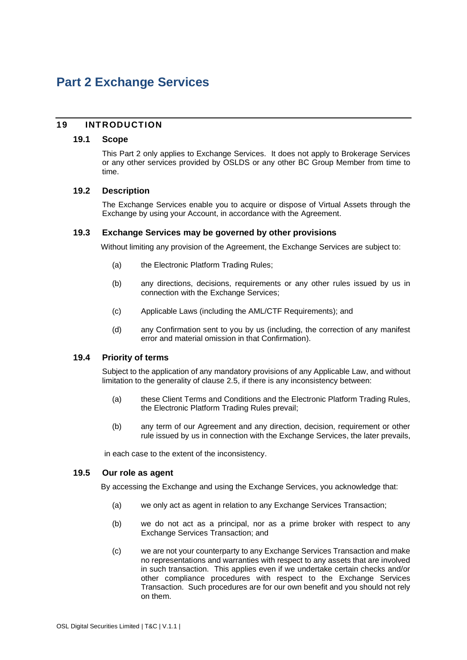# <span id="page-44-0"></span>**Part 2 Exchange Services**

### **19 INTRODUCTION**

#### **19.1 Scope**

This [Part 2](#page-44-0) only applies to Exchange Services. It does not apply to Brokerage Services or any other services provided by OSLDS or any other BC Group Member from time to time.

### <span id="page-44-1"></span>**19.2 Description**

The Exchange Services enable you to acquire or dispose of Virtual Assets through the Exchange by using your Account, in accordance with the Agreement.

#### **19.3 Exchange Services may be governed by other provisions**

Without limiting any provision of the Agreement, the Exchange Services are subject to:

- (a) the Electronic Platform Trading Rules;
- (b) any directions, decisions, requirements or any other rules issued by us in connection with the Exchange Services;
- (c) Applicable Laws (including the AML/CTF Requirements); and
- (d) any Confirmation sent to you by us (including, the correction of any manifest error and material omission in that Confirmation).

### **19.4 Priority of terms**

Subject to the application of any mandatory provisions of any Applicable Law, and without limitation to the generality of clause [2.5,](#page-14-1) if there is any inconsistency between:

- (a) these Client Terms and Conditions and the Electronic Platform Trading Rules, the Electronic Platform Trading Rules prevail;
- (b) any term of our Agreement and any direction, decision, requirement or other rule issued by us in connection with the Exchange Services, the later prevails,

in each case to the extent of the inconsistency.

#### **19.5 Our role as agent**

By accessing the Exchange and using the Exchange Services, you acknowledge that:

- (a) we only act as agent in relation to any Exchange Services Transaction;
- (b) we do not act as a principal, nor as a prime broker with respect to any Exchange Services Transaction; and
- (c) we are not your counterparty to any Exchange Services Transaction and make no representations and warranties with respect to any assets that are involved in such transaction. This applies even if we undertake certain checks and/or other compliance procedures with respect to the Exchange Services Transaction. Such procedures are for our own benefit and you should not rely on them.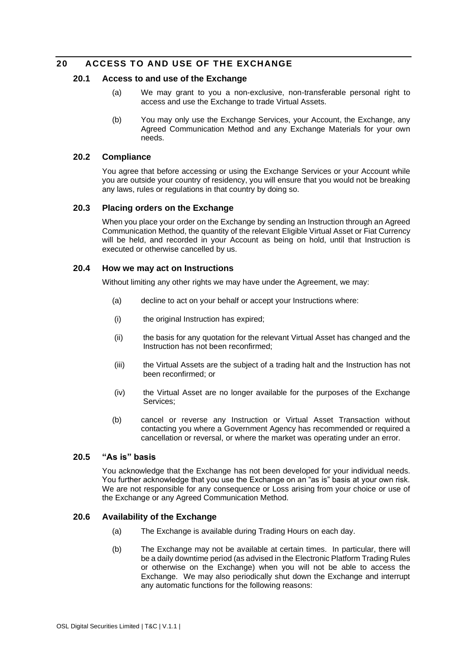### **20 ACCESS TO AND USE OF THE EXCHANGE**

### **20.1 Access to and use of the Exchange**

- (a) We may grant to you a non-exclusive, non-transferable personal right to access and use the Exchange to trade Virtual Assets.
- (b) You may only use the Exchange Services, your Account, the Exchange, any Agreed Communication Method and any Exchange Materials for your own needs.

### **20.2 Compliance**

You agree that before accessing or using the Exchange Services or your Account while you are outside your country of residency, you will ensure that you would not be breaking any laws, rules or regulations in that country by doing so.

#### **20.3 Placing orders on the Exchange**

When you place your order on the Exchange by sending an Instruction through an Agreed Communication Method, the quantity of the relevant Eligible Virtual Asset or Fiat Currency will be held, and recorded in your Account as being on hold, until that Instruction is executed or otherwise cancelled by us.

#### **20.4 How we may act on Instructions**

Without limiting any other rights we may have under the Agreement, we may:

- (a) decline to act on your behalf or accept your Instructions where:
- (i) the original Instruction has expired;
- (ii) the basis for any quotation for the relevant Virtual Asset has changed and the Instruction has not been reconfirmed;
- (iii) the Virtual Assets are the subject of a trading halt and the Instruction has not been reconfirmed; or
- (iv) the Virtual Asset are no longer available for the purposes of the Exchange Services;
- (b) cancel or reverse any Instruction or Virtual Asset Transaction without contacting you where a Government Agency has recommended or required a cancellation or reversal, or where the market was operating under an error.

#### **20.5 "As is" basis**

You acknowledge that the Exchange has not been developed for your individual needs. You further acknowledge that you use the Exchange on an "as is" basis at your own risk. We are not responsible for any consequence or Loss arising from your choice or use of the Exchange or any Agreed Communication Method.

#### **20.6 Availability of the Exchange**

- (a) The Exchange is available during Trading Hours on each day.
- (b) The Exchange may not be available at certain times. In particular, there will be a daily downtime period (as advised in the Electronic Platform Trading Rules or otherwise on the Exchange) when you will not be able to access the Exchange. We may also periodically shut down the Exchange and interrupt any automatic functions for the following reasons: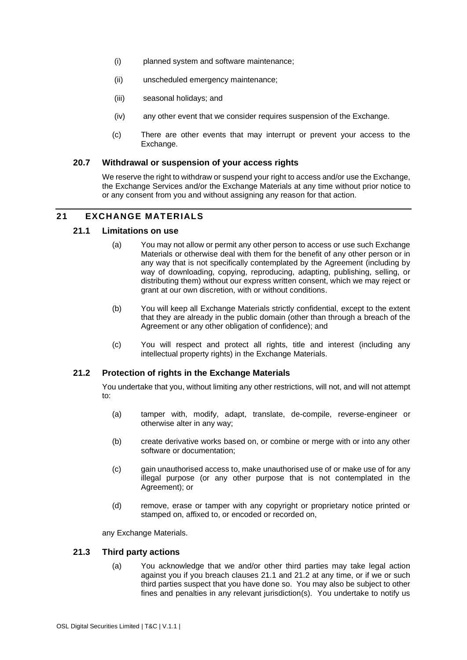- (i) planned system and software maintenance;
- (ii) unscheduled emergency maintenance;
- (iii) seasonal holidays; and
- (iv) any other event that we consider requires suspension of the Exchange.
- (c) There are other events that may interrupt or prevent your access to the Exchange.

#### **20.7 Withdrawal or suspension of your access rights**

We reserve the right to withdraw or suspend your right to access and/or use the Exchange, the Exchange Services and/or the Exchange Materials at any time without prior notice to or any consent from you and without assigning any reason for that action.

### <span id="page-46-0"></span>**21 EXCHANGE MATERIALS**

#### **21.1 Limitations on use**

- (a) You may not allow or permit any other person to access or use such Exchange Materials or otherwise deal with them for the benefit of any other person or in any way that is not specifically contemplated by the Agreement (including by way of downloading, copying, reproducing, adapting, publishing, selling, or distributing them) without our express written consent, which we may reject or grant at our own discretion, with or without conditions.
- (b) You will keep all Exchange Materials strictly confidential, except to the extent that they are already in the public domain (other than through a breach of the Agreement or any other obligation of confidence); and
- (c) You will respect and protect all rights, title and interest (including any intellectual property rights) in the Exchange Materials.

#### <span id="page-46-1"></span>**21.2 Protection of rights in the Exchange Materials**

You undertake that you, without limiting any other restrictions, will not, and will not attempt to:

- (a) tamper with, modify, adapt, translate, de-compile, reverse-engineer or otherwise alter in any way;
- (b) create derivative works based on, or combine or merge with or into any other software or documentation;
- (c) gain unauthorised access to, make unauthorised use of or make use of for any illegal purpose (or any other purpose that is not contemplated in the Agreement); or
- (d) remove, erase or tamper with any copyright or proprietary notice printed or stamped on, affixed to, or encoded or recorded on,

any Exchange Materials.

#### **21.3 Third party actions**

(a) You acknowledge that we and/or other third parties may take legal action against you if you breach clauses [21.1](#page-46-0) and [21.2](#page-46-1) at any time, or if we or such third parties suspect that you have done so. You may also be subject to other fines and penalties in any relevant jurisdiction(s). You undertake to notify us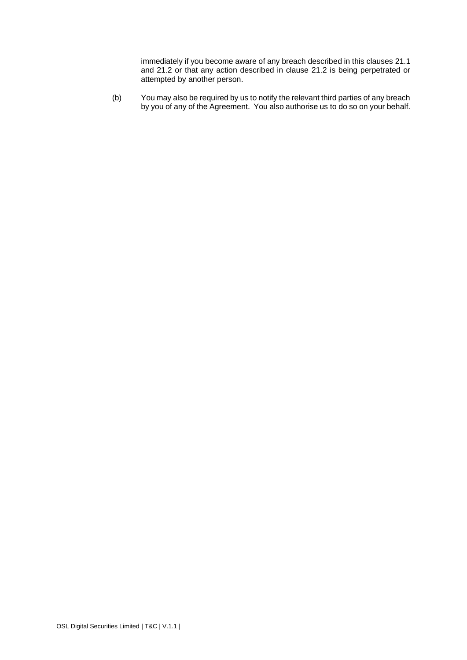immediately if you become aware of any breach described in this clauses [21.1](#page-46-0) and [21.2](#page-46-1) or that any action described in clause [21.2](#page-46-1) is being perpetrated or attempted by another person.

(b) You may also be required by us to notify the relevant third parties of any breach by you of any of the Agreement. You also authorise us to do so on your behalf.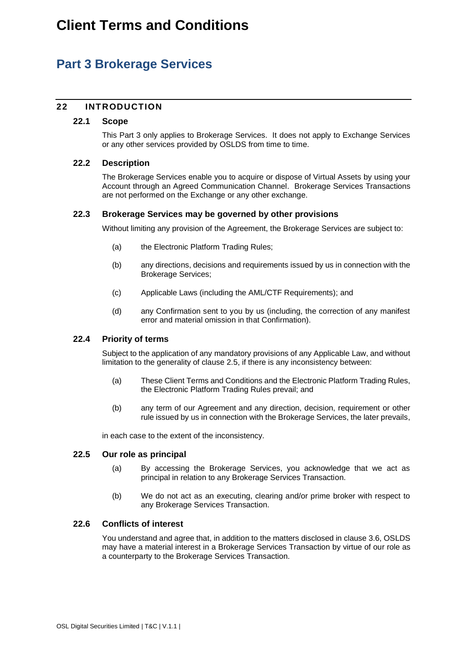# <span id="page-48-1"></span>**Part 3 Brokerage Services**

### **22 INTRODUCTION**

### **22.1 Scope**

This [Part 3](#page-48-1) only applies to Brokerage Services. It does not apply to Exchange Services or any other services provided by OSLDS from time to time.

### <span id="page-48-0"></span>**22.2 Description**

The Brokerage Services enable you to acquire or dispose of Virtual Assets by using your Account through an Agreed Communication Channel. Brokerage Services Transactions are not performed on the Exchange or any other exchange.

### **22.3 Brokerage Services may be governed by other provisions**

Without limiting any provision of the Agreement, the Brokerage Services are subject to:

- (a) the Electronic Platform Trading Rules;
- (b) any directions, decisions and requirements issued by us in connection with the Brokerage Services;
- (c) Applicable Laws (including the AML/CTF Requirements); and
- (d) any Confirmation sent to you by us (including, the correction of any manifest error and material omission in that Confirmation).

#### **22.4 Priority of terms**

Subject to the application of any mandatory provisions of any Applicable Law, and without limitation to the generality of clause [2.5,](#page-14-1) if there is any inconsistency between:

- (a) These Client Terms and Conditions and the Electronic Platform Trading Rules, the Electronic Platform Trading Rules prevail; and
- (b) any term of our Agreement and any direction, decision, requirement or other rule issued by us in connection with the Brokerage Services, the later prevails,

in each case to the extent of the inconsistency.

#### **22.5 Our role as principal**

- (a) By accessing the Brokerage Services, you acknowledge that we act as principal in relation to any Brokerage Services Transaction.
- (b) We do not act as an executing, clearing and/or prime broker with respect to any Brokerage Services Transaction.

#### **22.6 Conflicts of interest**

You understand and agree that, in addition to the matters disclosed in clause [3.6,](#page-15-2) OSLDS may have a material interest in a Brokerage Services Transaction by virtue of our role as a counterparty to the Brokerage Services Transaction.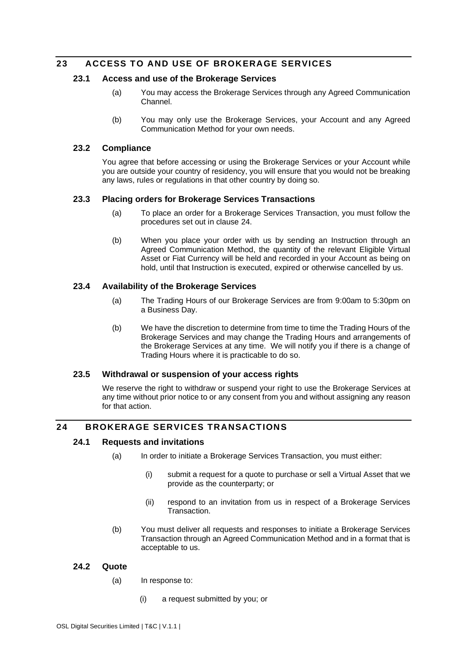### **23 ACCESS TO AND USE OF BROKERAGE SERVICES**

### **23.1 Access and use of the Brokerage Services**

- (a) You may access the Brokerage Services through any Agreed Communication Channel.
- (b) You may only use the Brokerage Services, your Account and any Agreed Communication Method for your own needs.

### **23.2 Compliance**

You agree that before accessing or using the Brokerage Services or your Account while you are outside your country of residency, you will ensure that you would not be breaking any laws, rules or regulations in that other country by doing so.

#### **23.3 Placing orders for Brokerage Services Transactions**

- (a) To place an order for a Brokerage Services Transaction, you must follow the procedures set out in clause [24.](#page-49-1)
- (b) When you place your order with us by sending an Instruction through an Agreed Communication Method, the quantity of the relevant Eligible Virtual Asset or Fiat Currency will be held and recorded in your Account as being on hold, until that Instruction is executed, expired or otherwise cancelled by us.

### <span id="page-49-0"></span>**23.4 Availability of the Brokerage Services**

- (a) The Trading Hours of our Brokerage Services are from 9:00am to 5:30pm on a Business Day.
- (b) We have the discretion to determine from time to time the Trading Hours of the Brokerage Services and may change the Trading Hours and arrangements of the Brokerage Services at any time. We will notify you if there is a change of Trading Hours where it is practicable to do so.

#### **23.5 Withdrawal or suspension of your access rights**

We reserve the right to withdraw or suspend your right to use the Brokerage Services at any time without prior notice to or any consent from you and without assigning any reason for that action.

### <span id="page-49-2"></span><span id="page-49-1"></span>**24 BROKERAGE SERVICES TRANSACTIONS**

### **24.1 Requests and invitations**

- (a) In order to initiate a Brokerage Services Transaction, you must either:
	- (i) submit a request for a quote to purchase or sell a Virtual Asset that we provide as the counterparty; or
	- (ii) respond to an invitation from us in respect of a Brokerage Services Transaction.
- (b) You must deliver all requests and responses to initiate a Brokerage Services Transaction through an Agreed Communication Method and in a format that is acceptable to us.

#### **24.2 Quote**

- (a) In response to:
	- (i) a request submitted by you; or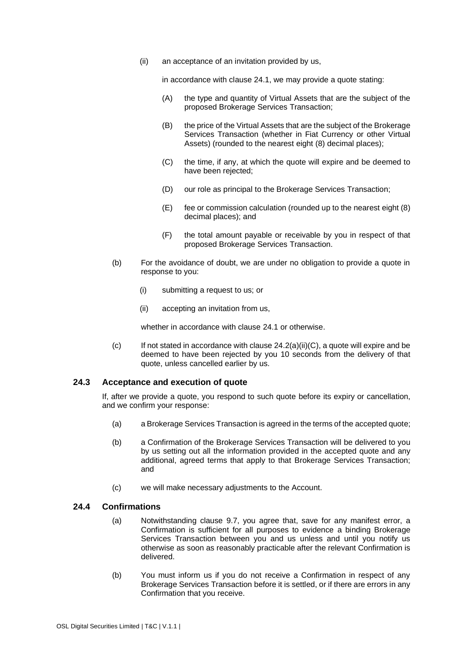(ii) an acceptance of an invitation provided by us,

in accordance with clause [24.1,](#page-49-2) we may provide a quote stating:

- (A) the type and quantity of Virtual Assets that are the subject of the proposed Brokerage Services Transaction;
- (B) the price of the Virtual Assets that are the subject of the Brokerage Services Transaction (whether in Fiat Currency or other Virtual Assets) (rounded to the nearest eight (8) decimal places);
- <span id="page-50-0"></span>(C) the time, if any, at which the quote will expire and be deemed to have been rejected;
- (D) our role as principal to the Brokerage Services Transaction;
- (E) fee or commission calculation (rounded up to the nearest eight (8) decimal places); and
- (F) the total amount payable or receivable by you in respect of that proposed Brokerage Services Transaction.
- (b) For the avoidance of doubt, we are under no obligation to provide a quote in response to you:
	- (i) submitting a request to us; or
	- (ii) accepting an invitation from us,

whether in accordance with clause [24.1](#page-49-2) or otherwise.

 $(c)$  If not stated in accordance with clause  $24.2(a)(ii)(C)$ , a quote will expire and be deemed to have been rejected by you 10 seconds from the delivery of that quote, unless cancelled earlier by us.

#### **24.3 Acceptance and execution of quote**

If, after we provide a quote, you respond to such quote before its expiry or cancellation, and we confirm your response:

- (a) a Brokerage Services Transaction is agreed in the terms of the accepted quote;
- (b) a Confirmation of the Brokerage Services Transaction will be delivered to you by us setting out all the information provided in the accepted quote and any additional, agreed terms that apply to that Brokerage Services Transaction; and
- (c) we will make necessary adjustments to the Account.

#### **24.4 Confirmations**

- (a) Notwithstanding clause [9.7,](#page-28-0) you agree that, save for any manifest error, a Confirmation is sufficient for all purposes to evidence a binding Brokerage Services Transaction between you and us unless and until you notify us otherwise as soon as reasonably practicable after the relevant Confirmation is delivered.
- (b) You must inform us if you do not receive a Confirmation in respect of any Brokerage Services Transaction before it is settled, or if there are errors in any Confirmation that you receive.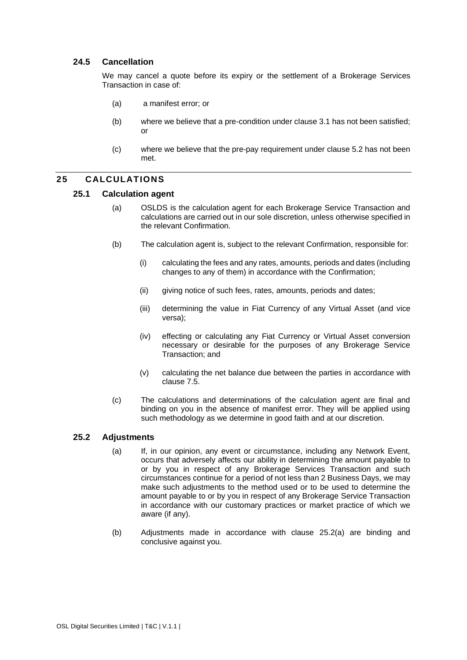### **24.5 Cancellation**

We may cancel a quote before its expiry or the settlement of a Brokerage Services Transaction in case of:

- (a) a manifest error; or
- (b) where we believe that a pre-condition under clause 3.1 has not been satisfied; or
- (c) where we believe that the pre-pay requirement under clause 5.2 has not been met.

### **25 CALCULATIONS**

#### **25.1 Calculation agent**

- (a) OSLDS is the calculation agent for each Brokerage Service Transaction and calculations are carried out in our sole discretion, unless otherwise specified in the relevant Confirmation.
- (b) The calculation agent is, subject to the relevant Confirmation, responsible for:
	- (i) calculating the fees and any rates, amounts, periods and dates (including changes to any of them) in accordance with the Confirmation;
	- (ii) giving notice of such fees, rates, amounts, periods and dates;
	- (iii) determining the value in Fiat Currency of any Virtual Asset (and vice versa);
	- (iv) effecting or calculating any Fiat Currency or Virtual Asset conversion necessary or desirable for the purposes of any Brokerage Service Transaction; and
	- (v) calculating the net balance due between the parties in accordance with clause [7.5.](#page-25-2)
- (c) The calculations and determinations of the calculation agent are final and binding on you in the absence of manifest error. They will be applied using such methodology as we determine in good faith and at our discretion.

#### <span id="page-51-0"></span>**25.2 Adjustments**

- (a) If, in our opinion, any event or circumstance, including any Network Event, occurs that adversely affects our ability in determining the amount payable to or by you in respect of any Brokerage Services Transaction and such circumstances continue for a period of not less than 2 Business Days, we may make such adjustments to the method used or to be used to determine the amount payable to or by you in respect of any Brokerage Service Transaction in accordance with our customary practices or market practice of which we aware (if any).
- (b) Adjustments made in accordance with clause [25.2\(a\)](#page-51-0) are binding and conclusive against you.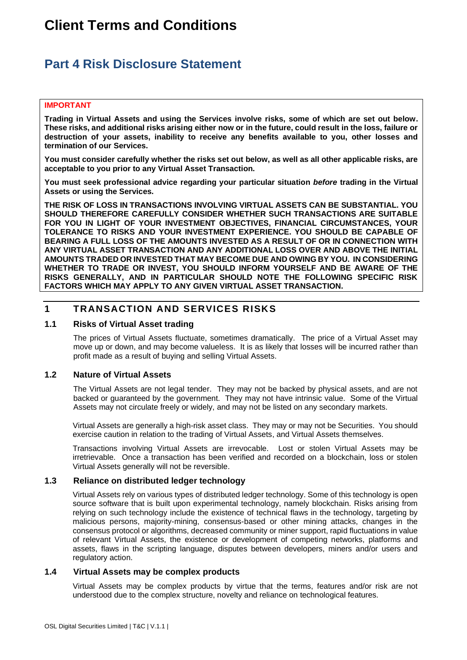# **Client Terms and Conditions**

# <span id="page-52-0"></span>**Part 4 Risk Disclosure Statement**

#### **IMPORTANT**

**Trading in Virtual Assets and using the Services involve risks, some of which are set out below. These risks, and additional risks arising either now or in the future, could result in the loss, failure or destruction of your assets, inability to receive any benefits available to you, other losses and termination of our Services.** 

**You must consider carefully whether the risks set out below, as well as all other applicable risks, are acceptable to you prior to any Virtual Asset Transaction.** 

**You must seek professional advice regarding your particular situation** *before* **trading in the Virtual Assets or using the Services.** 

**THE RISK OF LOSS IN TRANSACTIONS INVOLVING VIRTUAL ASSETS CAN BE SUBSTANTIAL. YOU SHOULD THEREFORE CAREFULLY CONSIDER WHETHER SUCH TRANSACTIONS ARE SUITABLE FOR YOU IN LIGHT OF YOUR INVESTMENT OBJECTIVES, FINANCIAL CIRCUMSTANCES, YOUR TOLERANCE TO RISKS AND YOUR INVESTMENT EXPERIENCE. YOU SHOULD BE CAPABLE OF BEARING A FULL LOSS OF THE AMOUNTS INVESTED AS A RESULT OF OR IN CONNECTION WITH ANY VIRTUAL ASSET TRANSACTION AND ANY ADDITIONAL LOSS OVER AND ABOVE THE INITIAL AMOUNTS TRADED OR INVESTED THAT MAY BECOME DUE AND OWING BY YOU. IN CONSIDERING WHETHER TO TRADE OR INVEST, YOU SHOULD INFORM YOURSELF AND BE AWARE OF THE RISKS GENERALLY, AND IN PARTICULAR SHOULD NOTE THE FOLLOWING SPECIFIC RISK FACTORS WHICH MAY APPLY TO ANY GIVEN VIRTUAL ASSET TRANSACTION.**

### **1 TRANSACTION AND SERVICES RISKS**

### **1.1 Risks of Virtual Asset trading**

The prices of Virtual Assets fluctuate, sometimes dramatically. The price of a Virtual Asset may move up or down, and may become valueless. It is as likely that losses will be incurred rather than profit made as a result of buying and selling Virtual Assets.

#### **1.2 Nature of Virtual Assets**

The Virtual Assets are not legal tender. They may not be backed by physical assets, and are not backed or guaranteed by the government. They may not have intrinsic value. Some of the Virtual Assets may not circulate freely or widely, and may not be listed on any secondary markets.

Virtual Assets are generally a high-risk asset class. They may or may not be Securities. You should exercise caution in relation to the trading of Virtual Assets, and Virtual Assets themselves.

Transactions involving Virtual Assets are irrevocable. Lost or stolen Virtual Assets may be irretrievable. Once a transaction has been verified and recorded on a blockchain, loss or stolen Virtual Assets generally will not be reversible.

#### **1.3 Reliance on distributed ledger technology**

Virtual Assets rely on various types of distributed ledger technology. Some of this technology is open source software that is built upon experimental technology, namely blockchain. Risks arising from relying on such technology include the existence of technical flaws in the technology, targeting by malicious persons, majority-mining, consensus-based or other mining attacks, changes in the consensus protocol or algorithms, decreased community or miner support, rapid fluctuations in value of relevant Virtual Assets, the existence or development of competing networks, platforms and assets, flaws in the scripting language, disputes between developers, miners and/or users and regulatory action.

#### **1.4 Virtual Assets may be complex products**

Virtual Assets may be complex products by virtue that the terms, features and/or risk are not understood due to the complex structure, novelty and reliance on technological features.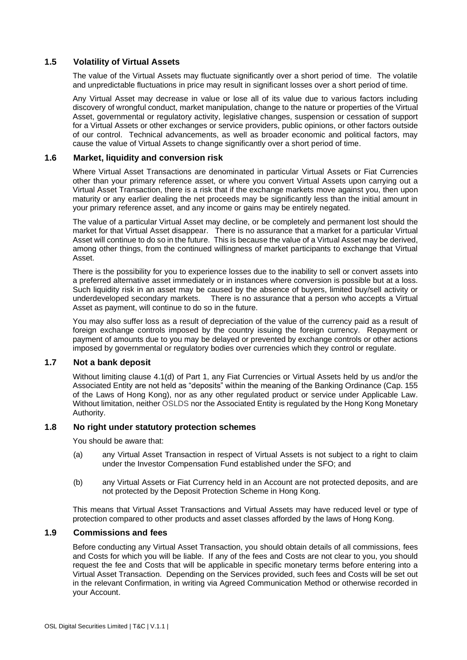### **1.5 Volatility of Virtual Assets**

The value of the Virtual Assets may fluctuate significantly over a short period of time. The volatile and unpredictable fluctuations in price may result in significant losses over a short period of time.

Any Virtual Asset may decrease in value or lose all of its value due to various factors including discovery of wrongful conduct, market manipulation, change to the nature or properties of the Virtual Asset, governmental or regulatory activity, legislative changes, suspension or cessation of support for a Virtual Assets or other exchanges or service providers, public opinions, or other factors outside of our control. Technical advancements, as well as broader economic and political factors, may cause the value of Virtual Assets to change significantly over a short period of time.

### **1.6 Market, liquidity and conversion risk**

Where Virtual Asset Transactions are denominated in particular Virtual Assets or Fiat Currencies other than your primary reference asset, or where you convert Virtual Assets upon carrying out a Virtual Asset Transaction, there is a risk that if the exchange markets move against you, then upon maturity or any earlier dealing the net proceeds may be significantly less than the initial amount in your primary reference asset, and any income or gains may be entirely negated.

The value of a particular Virtual Asset may decline, or be completely and permanent lost should the market for that Virtual Asset disappear. There is no assurance that a market for a particular Virtual Asset will continue to do so in the future. This is because the value of a Virtual Asset may be derived, among other things, from the continued willingness of market participants to exchange that Virtual Asset.

There is the possibility for you to experience losses due to the inability to sell or convert assets into a preferred alternative asset immediately or in instances where conversion is possible but at a loss. Such liquidity risk in an asset may be caused by the absence of buyers, limited buy/sell activity or underdeveloped secondary markets. There is no assurance that a person who accepts a Virtual Asset as payment, will continue to do so in the future.

You may also suffer loss as a result of depreciation of the value of the currency paid as a result of foreign exchange controls imposed by the country issuing the foreign currency. Repayment or payment of amounts due to you may be delayed or prevented by exchange controls or other actions imposed by governmental or regulatory bodies over currencies which they control or regulate.

#### **1.7 Not a bank deposit**

Without limiting clause [4.1\(d\)](#page-17-0) of Part 1, any Fiat Currencies or Virtual Assets held by us and/or the Associated Entity are not held as "deposits" within the meaning of the Banking Ordinance (Cap. 155 of the Laws of Hong Kong), nor as any other regulated product or service under Applicable Law. Without limitation, neither OSLDS nor the Associated Entity is regulated by the Hong Kong Monetary Authority.

#### **1.8 No right under statutory protection schemes**

You should be aware that:

- (a) any Virtual Asset Transaction in respect of Virtual Assets is not subject to a right to claim under the Investor Compensation Fund established under the SFO; and
- (b) any Virtual Assets or Fiat Currency held in an Account are not protected deposits, and are not protected by the Deposit Protection Scheme in Hong Kong.

This means that Virtual Asset Transactions and Virtual Assets may have reduced level or type of protection compared to other products and asset classes afforded by the laws of Hong Kong.

#### **1.9 Commissions and fees**

Before conducting any Virtual Asset Transaction, you should obtain details of all commissions, fees and Costs for which you will be liable. If any of the fees and Costs are not clear to you, you should request the fee and Costs that will be applicable in specific monetary terms before entering into a Virtual Asset Transaction. Depending on the Services provided, such fees and Costs will be set out in the relevant Confirmation, in writing via Agreed Communication Method or otherwise recorded in your Account.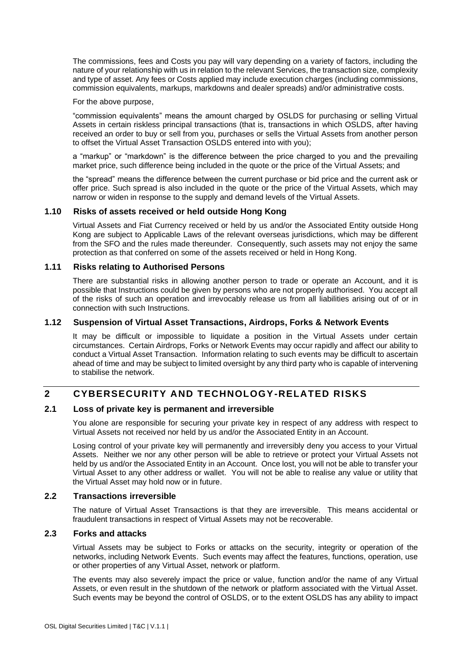The commissions, fees and Costs you pay will vary depending on a variety of factors, including the nature of your relationship with us in relation to the relevant Services, the transaction size, complexity and type of asset. Any fees or Costs applied may include execution charges (including commissions, commission equivalents, markups, markdowns and dealer spreads) and/or administrative costs.

For the above purpose,

"commission equivalents" means the amount charged by OSLDS for purchasing or selling Virtual Assets in certain riskless principal transactions (that is, transactions in which OSLDS, after having received an order to buy or sell from you, purchases or sells the Virtual Assets from another person to offset the Virtual Asset Transaction OSLDS entered into with you);

a "markup" or "markdown" is the difference between the price charged to you and the prevailing market price, such difference being included in the quote or the price of the Virtual Assets; and

the "spread" means the difference between the current purchase or bid price and the current ask or offer price. Such spread is also included in the quote or the price of the Virtual Assets, which may narrow or widen in response to the supply and demand levels of the Virtual Assets.

#### **1.10 Risks of assets received or held outside Hong Kong**

Virtual Assets and Fiat Currency received or held by us and/or the Associated Entity outside Hong Kong are subject to Applicable Laws of the relevant overseas jurisdictions, which may be different from the SFO and the rules made thereunder. Consequently, such assets may not enjoy the same protection as that conferred on some of the assets received or held in Hong Kong.

#### **1.11 Risks relating to Authorised Persons**

There are substantial risks in allowing another person to trade or operate an Account, and it is possible that Instructions could be given by persons who are not properly authorised. You accept all of the risks of such an operation and irrevocably release us from all liabilities arising out of or in connection with such Instructions.

#### **1.12 Suspension of Virtual Asset Transactions, Airdrops, Forks & Network Events**

It may be difficult or impossible to liquidate a position in the Virtual Assets under certain circumstances. Certain Airdrops, Forks or Network Events may occur rapidly and affect our ability to conduct a Virtual Asset Transaction. Information relating to such events may be difficult to ascertain ahead of time and may be subject to limited oversight by any third party who is capable of intervening to stabilise the network.

### **2 CYBERSECURITY AND TECHNOLOGY-RELATED RISKS**

### **2.1 Loss of private key is permanent and irreversible**

You alone are responsible for securing your private key in respect of any address with respect to Virtual Assets not received nor held by us and/or the Associated Entity in an Account.

Losing control of your private key will permanently and irreversibly deny you access to your Virtual Assets. Neither we nor any other person will be able to retrieve or protect your Virtual Assets not held by us and/or the Associated Entity in an Account. Once lost, you will not be able to transfer your Virtual Asset to any other address or wallet. You will not be able to realise any value or utility that the Virtual Asset may hold now or in future.

#### **2.2 Transactions irreversible**

The nature of Virtual Asset Transactions is that they are irreversible. This means accidental or fraudulent transactions in respect of Virtual Assets may not be recoverable.

#### **2.3 Forks and attacks**

Virtual Assets may be subject to Forks or attacks on the security, integrity or operation of the networks, including Network Events. Such events may affect the features, functions, operation, use or other properties of any Virtual Asset, network or platform.

The events may also severely impact the price or value, function and/or the name of any Virtual Assets, or even result in the shutdown of the network or platform associated with the Virtual Asset. Such events may be beyond the control of OSLDS, or to the extent OSLDS has any ability to impact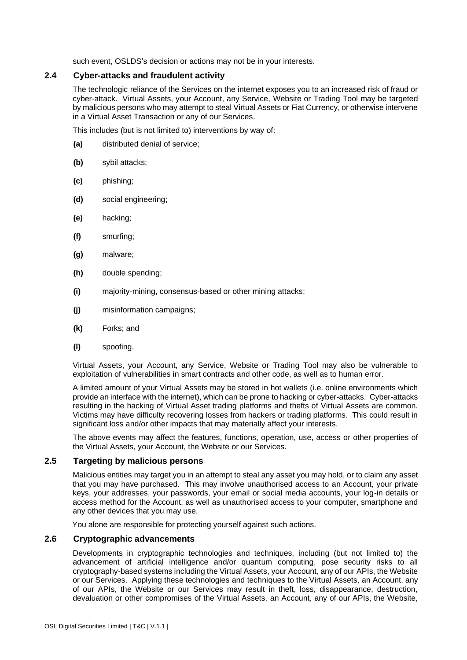such event, OSLDS's decision or actions may not be in your interests.

#### **2.4 Cyber-attacks and fraudulent activity**

The technologic reliance of the Services on the internet exposes you to an increased risk of fraud or cyber-attack. Virtual Assets, your Account, any Service, Website or Trading Tool may be targeted by malicious persons who may attempt to steal Virtual Assets or Fiat Currency, or otherwise intervene in a Virtual Asset Transaction or any of our Services.

This includes (but is not limited to) interventions by way of:

- **(a)** distributed denial of service;
- **(b)** sybil attacks;
- **(c)** phishing;
- **(d)** social engineering;
- **(e)** hacking;
- **(f)** smurfing;
- **(g)** malware;
- **(h)** double spending;
- **(i)** majority-mining, consensus-based or other mining attacks;
- **(j)** misinformation campaigns;
- **(k)** Forks; and
- **(l)** spoofing.

Virtual Assets, your Account, any Service, Website or Trading Tool may also be vulnerable to exploitation of vulnerabilities in smart contracts and other code, as well as to human error.

A limited amount of your Virtual Assets may be stored in hot wallets (i.e. online environments which provide an interface with the internet), which can be prone to hacking or cyber-attacks. Cyber-attacks resulting in the hacking of Virtual Asset trading platforms and thefts of Virtual Assets are common. Victims may have difficulty recovering losses from hackers or trading platforms. This could result in significant loss and/or other impacts that may materially affect your interests.

The above events may affect the features, functions, operation, use, access or other properties of the Virtual Assets, your Account, the Website or our Services.

#### **2.5 Targeting by malicious persons**

Malicious entities may target you in an attempt to steal any asset you may hold, or to claim any asset that you may have purchased. This may involve unauthorised access to an Account, your private keys, your addresses, your passwords, your email or social media accounts, your log-in details or access method for the Account, as well as unauthorised access to your computer, smartphone and any other devices that you may use.

You alone are responsible for protecting yourself against such actions.

#### **2.6 Cryptographic advancements**

Developments in cryptographic technologies and techniques, including (but not limited to) the advancement of artificial intelligence and/or quantum computing, pose security risks to all cryptography-based systems including the Virtual Assets, your Account, any of our APIs, the Website or our Services. Applying these technologies and techniques to the Virtual Assets, an Account, any of our APIs, the Website or our Services may result in theft, loss, disappearance, destruction, devaluation or other compromises of the Virtual Assets, an Account, any of our APIs, the Website,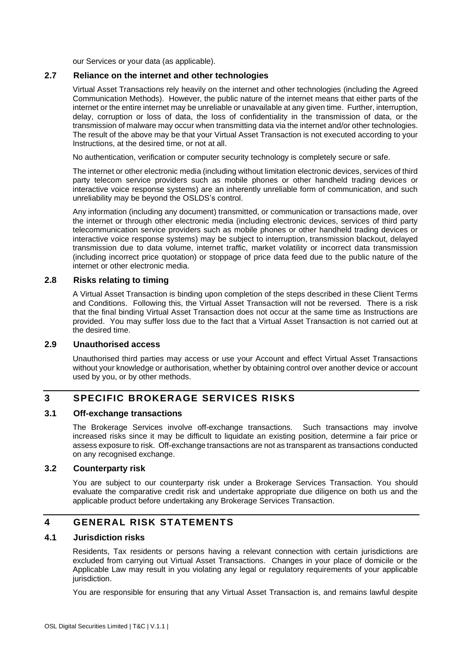our Services or your data (as applicable).

#### **2.7 Reliance on the internet and other technologies**

Virtual Asset Transactions rely heavily on the internet and other technologies (including the Agreed Communication Methods). However, the public nature of the internet means that either parts of the internet or the entire internet may be unreliable or unavailable at any given time. Further, interruption, delay, corruption or loss of data, the loss of confidentiality in the transmission of data, or the transmission of malware may occur when transmitting data via the internet and/or other technologies. The result of the above may be that your Virtual Asset Transaction is not executed according to your Instructions, at the desired time, or not at all.

No authentication, verification or computer security technology is completely secure or safe.

The internet or other electronic media (including without limitation electronic devices, services of third party telecom service providers such as mobile phones or other handheld trading devices or interactive voice response systems) are an inherently unreliable form of communication, and such unreliability may be beyond the OSLDS's control.

Any information (including any document) transmitted, or communication or transactions made, over the internet or through other electronic media (including electronic devices, services of third party telecommunication service providers such as mobile phones or other handheld trading devices or interactive voice response systems) may be subject to interruption, transmission blackout, delayed transmission due to data volume, internet traffic, market volatility or incorrect data transmission (including incorrect price quotation) or stoppage of price data feed due to the public nature of the internet or other electronic media.

#### **2.8 Risks relating to timing**

A Virtual Asset Transaction is binding upon completion of the steps described in these Client Terms and Conditions. Following this, the Virtual Asset Transaction will not be reversed. There is a risk that the final binding Virtual Asset Transaction does not occur at the same time as Instructions are provided. You may suffer loss due to the fact that a Virtual Asset Transaction is not carried out at the desired time.

### **2.9 Unauthorised access**

Unauthorised third parties may access or use your Account and effect Virtual Asset Transactions without your knowledge or authorisation, whether by obtaining control over another device or account used by you, or by other methods.

### **3 SPECIFIC BROKERAGE SERVICES RISKS**

### **3.1 Off-exchange transactions**

The Brokerage Services involve off-exchange transactions. Such transactions may involve increased risks since it may be difficult to liquidate an existing position, determine a fair price or assess exposure to risk. Off-exchange transactions are not as transparent as transactions conducted on any recognised exchange.

#### **3.2 Counterparty risk**

You are subject to our counterparty risk under a Brokerage Services Transaction. You should evaluate the comparative credit risk and undertake appropriate due diligence on both us and the applicable product before undertaking any Brokerage Services Transaction.

### **4 GENERAL RISK STATEMENTS**

### **4.1 Jurisdiction risks**

Residents, Tax residents or persons having a relevant connection with certain jurisdictions are excluded from carrying out Virtual Asset Transactions. Changes in your place of domicile or the Applicable Law may result in you violating any legal or regulatory requirements of your applicable jurisdiction.

You are responsible for ensuring that any Virtual Asset Transaction is, and remains lawful despite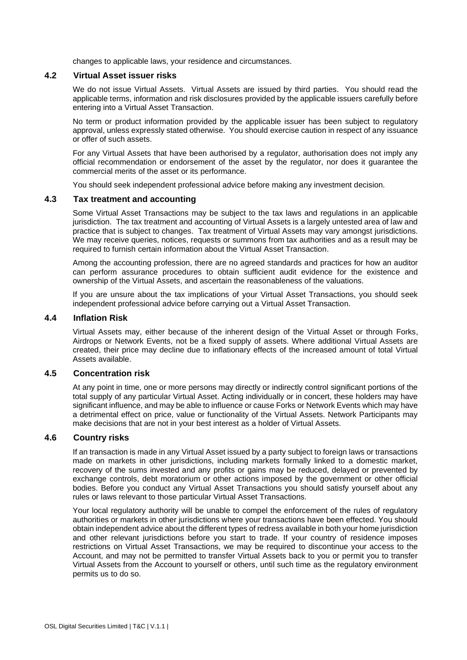changes to applicable laws, your residence and circumstances.

#### **4.2 Virtual Asset issuer risks**

We do not issue Virtual Assets. Virtual Assets are issued by third parties. You should read the applicable terms, information and risk disclosures provided by the applicable issuers carefully before entering into a Virtual Asset Transaction.

No term or product information provided by the applicable issuer has been subject to regulatory approval, unless expressly stated otherwise. You should exercise caution in respect of any issuance or offer of such assets.

For any Virtual Assets that have been authorised by a regulator, authorisation does not imply any official recommendation or endorsement of the asset by the regulator, nor does it guarantee the commercial merits of the asset or its performance.

You should seek independent professional advice before making any investment decision.

#### **4.3 Tax treatment and accounting**

Some Virtual Asset Transactions may be subject to the tax laws and regulations in an applicable jurisdiction. The tax treatment and accounting of Virtual Assets is a largely untested area of law and practice that is subject to changes. Tax treatment of Virtual Assets may vary amongst jurisdictions. We may receive queries, notices, requests or summons from tax authorities and as a result may be required to furnish certain information about the Virtual Asset Transaction.

Among the accounting profession, there are no agreed standards and practices for how an auditor can perform assurance procedures to obtain sufficient audit evidence for the existence and ownership of the Virtual Assets, and ascertain the reasonableness of the valuations.

If you are unsure about the tax implications of your Virtual Asset Transactions, you should seek independent professional advice before carrying out a Virtual Asset Transaction.

### **4.4 Inflation Risk**

Virtual Assets may, either because of the inherent design of the Virtual Asset or through Forks, Airdrops or Network Events, not be a fixed supply of assets. Where additional Virtual Assets are created, their price may decline due to inflationary effects of the increased amount of total Virtual Assets available.

#### **4.5 Concentration risk**

At any point in time, one or more persons may directly or indirectly control significant portions of the total supply of any particular Virtual Asset. Acting individually or in concert, these holders may have significant influence, and may be able to influence or cause Forks or Network Events which may have a detrimental effect on price, value or functionality of the Virtual Assets. Network Participants may make decisions that are not in your best interest as a holder of Virtual Assets.

#### **4.6 Country risks**

If an transaction is made in any Virtual Asset issued by a party subject to foreign laws or transactions made on markets in other jurisdictions, including markets formally linked to a domestic market, recovery of the sums invested and any profits or gains may be reduced, delayed or prevented by exchange controls, debt moratorium or other actions imposed by the government or other official bodies. Before you conduct any Virtual Asset Transactions you should satisfy yourself about any rules or laws relevant to those particular Virtual Asset Transactions.

Your local regulatory authority will be unable to compel the enforcement of the rules of regulatory authorities or markets in other jurisdictions where your transactions have been effected. You should obtain independent advice about the different types of redress available in both your home jurisdiction and other relevant jurisdictions before you start to trade. If your country of residence imposes restrictions on Virtual Asset Transactions, we may be required to discontinue your access to the Account, and may not be permitted to transfer Virtual Assets back to you or permit you to transfer Virtual Assets from the Account to yourself or others, until such time as the regulatory environment permits us to do so.